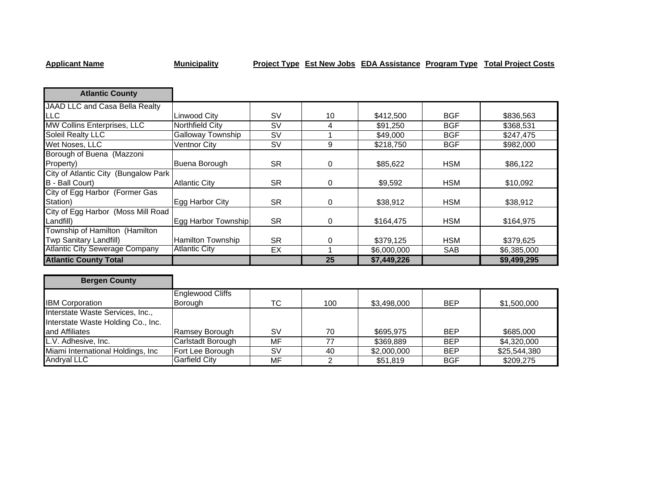## **Applicant Name Municipality Project Type Est New Jobs EDA Assistance Program Type Total Project Costs**

| <b>Atlantic County</b>                |                          |           |    |             |            |             |
|---------------------------------------|--------------------------|-----------|----|-------------|------------|-------------|
| JAAD LLC and Casa Bella Realty        |                          |           |    |             |            |             |
| <b>LLC</b>                            | Linwood City             | <b>SV</b> | 10 | \$412,500   | <b>BGF</b> | \$836,563   |
| <b>MW Collins Enterprises, LLC</b>    | <b>Northfield City</b>   | <b>SV</b> | 4  | \$91,250    | <b>BGF</b> | \$368,531   |
| Soleil Realty LLC                     | <b>Galloway Township</b> | <b>SV</b> |    | \$49,000    | <b>BGF</b> | \$247,475   |
| Wet Noses, LLC                        | Ventnor City             | <b>SV</b> | 9  | \$218,750   | <b>BGF</b> | \$982,000   |
| Borough of Buena (Mazzoni             |                          |           |    |             |            |             |
| Property)                             | Buena Borough            | <b>SR</b> | 0  | \$85,622    | <b>HSM</b> | \$86,122    |
| City of Atlantic City (Bungalow Park  |                          |           |    |             |            |             |
| B - Ball Court)                       | <b>Atlantic City</b>     | <b>SR</b> | 0  | \$9,592     | <b>HSM</b> | \$10,092    |
| City of Egg Harbor (Former Gas        |                          |           |    |             |            |             |
| Station)                              | Egg Harbor City          | <b>SR</b> | 0  | \$38,912    | <b>HSM</b> | \$38,912    |
| City of Egg Harbor (Moss Mill Road    |                          |           |    |             |            |             |
| Landfill)                             | Egg Harbor Township      | <b>SR</b> | 0  | \$164,475   | <b>HSM</b> | \$164,975   |
| Township of Hamilton (Hamilton        |                          |           |    |             |            |             |
| Twp Sanitary Landfill)                | Hamilton Township        | <b>SR</b> | 0  | \$379,125   | <b>HSM</b> | \$379,625   |
| <b>Atlantic City Sewerage Company</b> | <b>Atlantic City</b>     | EX        |    | \$6,000,000 | <b>SAB</b> | \$6,385,000 |
| <b>Atlantic County Total</b>          |                          |           | 25 | \$7,449,226 |            | \$9,499,295 |

| <b>Bergen County</b>               |                         |    |     |             |            |              |
|------------------------------------|-------------------------|----|-----|-------------|------------|--------------|
|                                    | <b>Englewood Cliffs</b> |    |     |             |            |              |
| <b>IBM Corporation</b>             | Borough                 | TC | 100 | \$3,498,000 | <b>BEP</b> | \$1,500,000  |
| Interstate Waste Services, Inc.,   |                         |    |     |             |            |              |
| Interstate Waste Holding Co., Inc. |                         |    |     |             |            |              |
| land Affiliates                    | Ramsey Borough          | S٧ | 70  | \$695.975   | <b>BEP</b> | \$685,000    |
| L.V. Adhesive, Inc.                | Carlstadt Borough       | МF | 77  | \$369,889   | <b>BEP</b> | \$4,320,000  |
| Miami International Holdings, Inc. | Fort Lee Borough        | SV | 40  | \$2,000,000 | <b>BEP</b> | \$25,544,380 |
| Andryal LLC                        | Garfield City           | МF |     | \$51,819    | <b>BGF</b> | \$209,275    |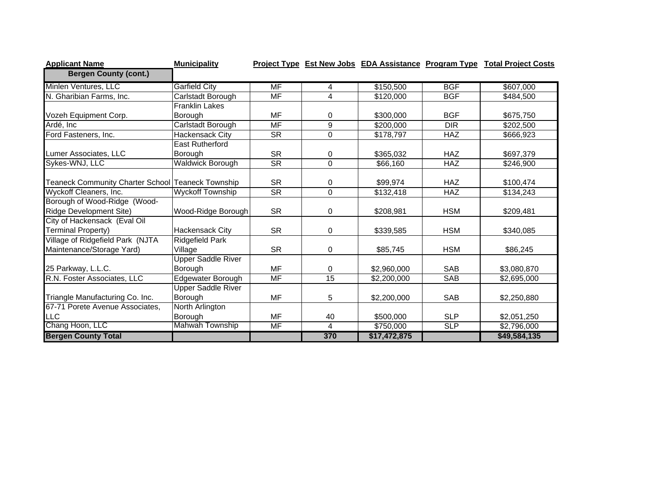| <b>Applicant Name</b>                             | <b>Municipality</b>       |                          |          |              |            | Project Type Est New Jobs EDA Assistance Program Type Total Project Costs |
|---------------------------------------------------|---------------------------|--------------------------|----------|--------------|------------|---------------------------------------------------------------------------|
| <b>Bergen County (cont.)</b>                      |                           |                          |          |              |            |                                                                           |
| Minlen Ventures, LLC                              | <b>Garfield City</b>      | $\overline{\mathsf{MF}}$ | 4        | \$150,500    | <b>BGF</b> | \$607,000                                                                 |
| N. Gharibian Farms, Inc.                          | Carlstadt Borough         | $\overline{\mathsf{MF}}$ | 4        | \$120,000    | <b>BGF</b> | \$484,500                                                                 |
|                                                   | <b>Franklin Lakes</b>     |                          |          |              |            |                                                                           |
| Vozeh Equipment Corp.                             | Borouah                   | MF                       | 0        | \$300,000    | <b>BGF</b> | \$675,750                                                                 |
| Ardé, Inc                                         | Carlstadt Borough         | <b>MF</b>                | 9        | \$200,000    | <b>DIR</b> | \$202,500                                                                 |
| Ford Fasteners, Inc.                              | <b>Hackensack City</b>    | <b>SR</b>                | 0        | \$178,797    | <b>HAZ</b> | \$666,923                                                                 |
|                                                   | <b>East Rutherford</b>    |                          |          |              |            |                                                                           |
| Lumer Associates, LLC                             | Borough                   | <b>SR</b>                | 0        | \$365,032    | <b>HAZ</b> | \$697,379                                                                 |
| Sykes-WNJ, LLC                                    | <b>Waldwick Borough</b>   | $\overline{\text{SR}}$   | $\Omega$ | \$66,160     | <b>HAZ</b> | \$246,900                                                                 |
|                                                   |                           |                          |          |              |            |                                                                           |
| Teaneck Community Charter School Teaneck Township |                           | <b>SR</b>                | 0        | \$99,974     | <b>HAZ</b> | \$100,474                                                                 |
| Wyckoff Cleaners, Inc.                            | <b>Wyckoff Township</b>   | <b>SR</b>                | $\Omega$ | \$132,418    | <b>HAZ</b> | \$134,243                                                                 |
| Borough of Wood-Ridge (Wood-                      |                           |                          |          |              |            |                                                                           |
| Ridge Development Site)                           | Wood-Ridge Borough        | <b>SR</b>                | 0        | \$208,981    | <b>HSM</b> | \$209,481                                                                 |
| City of Hackensack (Eval Oil                      |                           |                          |          |              |            |                                                                           |
| Terminal Property)                                | <b>Hackensack City</b>    | <b>SR</b>                | 0        | \$339,585    | <b>HSM</b> | \$340,085                                                                 |
| Village of Ridgefield Park (NJTA                  | <b>Ridgefield Park</b>    |                          |          |              |            |                                                                           |
| Maintenance/Storage Yard)                         | Village                   | <b>SR</b>                | 0        | \$85,745     | <b>HSM</b> | \$86,245                                                                  |
|                                                   | <b>Upper Saddle River</b> |                          |          |              |            |                                                                           |
| 25 Parkway, L.L.C.                                | Borough                   | <b>MF</b>                | 0        | \$2,960,000  | <b>SAB</b> | \$3,080,870                                                               |
| R.N. Foster Associates, LLC                       | Edgewater Borough         | $\overline{\mathsf{MF}}$ | 15       | \$2,200,000  | <b>SAB</b> | \$2,695,000                                                               |
|                                                   | <b>Upper Saddle River</b> |                          |          |              |            |                                                                           |
| Triangle Manufacturing Co. Inc.                   | Borough                   | <b>MF</b>                | 5        | \$2,200,000  | <b>SAB</b> | \$2,250,880                                                               |
| 67-71 Porete Avenue Associates,                   | North Arlington           |                          |          |              |            |                                                                           |
| <b>LLC</b>                                        | Borough                   | <b>MF</b>                | 40       | \$500,000    | <b>SLP</b> | \$2,051,250                                                               |
| Chang Hoon, LLC                                   | Mahwah Township           | MF                       | 4        | \$750,000    | SLP        | \$2,796,000                                                               |
| <b>Bergen County Total</b>                        |                           |                          | 370      | \$17,472,875 |            | \$49,584,135                                                              |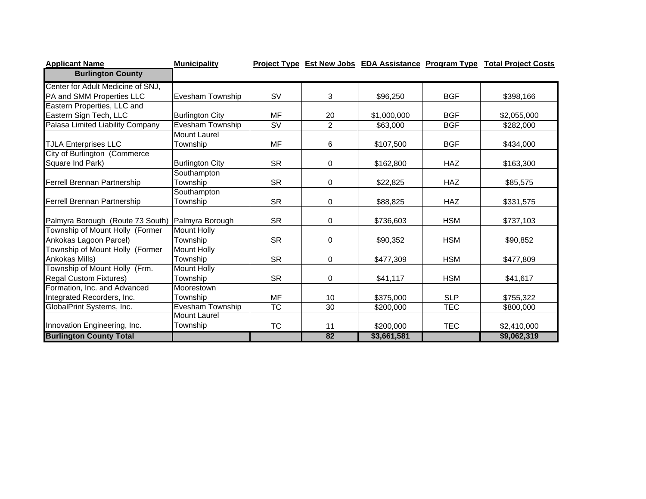| <b>Applicant Name</b>             | <b>Municipality</b>                            |                        |                 |             |            | Project Type Est New Jobs EDA Assistance Program Type Total Project Costs |
|-----------------------------------|------------------------------------------------|------------------------|-----------------|-------------|------------|---------------------------------------------------------------------------|
| <b>Burlington County</b>          |                                                |                        |                 |             |            |                                                                           |
| Center for Adult Medicine of SNJ, |                                                |                        |                 |             |            |                                                                           |
| PA and SMM Properties LLC         | Evesham Township                               | <b>SV</b>              | 3               | \$96,250    | <b>BGF</b> | \$398,166                                                                 |
| Eastern Properties, LLC and       |                                                |                        |                 |             |            |                                                                           |
| Eastern Sign Tech, LLC            | <b>Burlington City</b>                         | MF                     | 20              | \$1,000,000 | <b>BGF</b> | \$2,055,000                                                               |
| Palasa Limited Liability Company  | Evesham Township                               | SV                     | $\overline{2}$  | \$63,000    | <b>BGF</b> | \$282,000                                                                 |
|                                   | <b>Mount Laurel</b>                            |                        |                 |             |            |                                                                           |
| <b>TJLA Enterprises LLC</b>       | Township                                       | <b>MF</b>              | 6               | \$107,500   | <b>BGF</b> | \$434,000                                                                 |
| City of Burlington (Commerce      |                                                |                        |                 |             |            |                                                                           |
| Square Ind Park)                  | <b>Burlington City</b>                         | <b>SR</b>              | 0               | \$162,800   | <b>HAZ</b> | \$163,300                                                                 |
|                                   | Southampton                                    |                        |                 |             |            |                                                                           |
| Ferrell Brennan Partnership       | Township                                       | <b>SR</b>              | 0               | \$22,825    | <b>HAZ</b> | \$85,575                                                                  |
|                                   | Southampton                                    |                        |                 |             |            |                                                                           |
| Ferrell Brennan Partnership       | Township                                       | <b>SR</b>              | 0               | \$88,825    | <b>HAZ</b> | \$331,575                                                                 |
|                                   |                                                |                        |                 |             |            |                                                                           |
| Palmyra Borough (Route 73 South)  | Palmyra Borough                                | <b>SR</b>              | 0               | \$736,603   | <b>HSM</b> | \$737,103                                                                 |
| Township of Mount Holly (Former   | <b>Mount Holly</b>                             |                        |                 |             |            |                                                                           |
| Ankokas Lagoon Parcel)            | Township                                       | <b>SR</b>              | 0               | \$90,352    | <b>HSM</b> | \$90,852                                                                  |
| Township of Mount Holly (Former   | <b>Mount Holly</b>                             |                        |                 |             |            |                                                                           |
| Ankokas Mills)                    | Township                                       | <b>SR</b>              | $\Omega$        | \$477,309   | <b>HSM</b> | \$477,809                                                                 |
| Township of Mount Holly (Frm.     | <b>Mount Holly</b>                             |                        |                 |             | <b>HSM</b> |                                                                           |
| <b>Regal Custom Fixtures)</b>     | Township                                       | <b>SR</b>              | 0               | \$41,117    |            | \$41,617                                                                  |
| Formation, Inc. and Advanced      | Moorestown                                     |                        |                 |             |            |                                                                           |
| Integrated Recorders, Inc.        | Township                                       | <b>MF</b>              | 10              | \$375,000   | <b>SLP</b> | \$755,322                                                                 |
| GlobalPrint Systems, Inc.         | <b>Evesham Township</b><br><b>Mount Laurel</b> | $\overline{\text{TC}}$ | $\overline{30}$ | \$200,000   | <b>TEC</b> | \$800,000                                                                 |
| Innovation Engineering, Inc.      | Township                                       |                        |                 |             |            |                                                                           |
|                                   |                                                | <b>TC</b>              | 11              | \$200,000   | <b>TEC</b> | \$2,410,000                                                               |
| <b>Burlington County Total</b>    |                                                |                        | 82              | \$3,661,581 |            | \$9,062,319                                                               |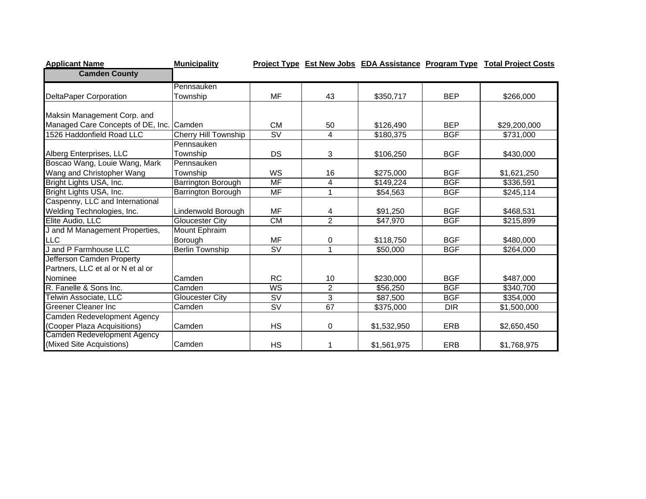| <b>Applicant Name</b>             | <b>Municipality</b>    |                                   |                |             |            | Project Type Est New Jobs EDA Assistance Program Type Total Project Costs |
|-----------------------------------|------------------------|-----------------------------------|----------------|-------------|------------|---------------------------------------------------------------------------|
| <b>Camden County</b>              |                        |                                   |                |             |            |                                                                           |
|                                   | Pennsauken             |                                   |                |             |            |                                                                           |
| <b>DeltaPaper Corporation</b>     | Township               | <b>MF</b>                         | 43             | \$350,717   | <b>BEP</b> | \$266,000                                                                 |
|                                   |                        |                                   |                |             |            |                                                                           |
| Maksin Management Corp. and       |                        |                                   |                |             |            |                                                                           |
| Managed Care Concepts of DE, Inc. | Camden                 | <b>CM</b>                         | 50             | \$126,490   | <b>BEP</b> | \$29,200,000                                                              |
| 1526 Haddonfield Road LLC         | Cherry Hill Township   | <b>SV</b>                         | 4              | \$180,375   | <b>BGF</b> | \$731,000                                                                 |
|                                   | Pennsauken             |                                   |                |             |            |                                                                           |
| Alberg Enterprises, LLC           | Township               | DS                                | 3              | \$106,250   | <b>BGF</b> | \$430,000                                                                 |
| Boscao Wang, Louie Wang, Mark     | Pennsauken             |                                   |                |             |            |                                                                           |
| Wang and Christopher Wang         | Township               | <b>WS</b>                         | 16             | \$275,000   | <b>BGF</b> | \$1,621,250                                                               |
| Bright Lights USA, Inc.           | Barrington Borough     | $\overline{\mathsf{MF}}$          | 4              | \$149,224   | <b>BGF</b> | \$336,591                                                                 |
| Bright Lights USA, Inc.           | Barrington Borough     | <b>MF</b>                         | $\mathbf{1}$   | \$54,563    | <b>BGF</b> | \$245,114                                                                 |
| Caspenny, LLC and International   |                        |                                   |                |             |            |                                                                           |
| Welding Technologies, Inc.        | Lindenwold Borough     | <b>MF</b>                         | 4              | \$91,250    | <b>BGF</b> | \$468,531                                                                 |
| Elite Audio, LLC                  | <b>Gloucester City</b> | CM                                | $\overline{2}$ | \$47,970    | <b>BGF</b> | \$215,899                                                                 |
| J and M Management Properties,    | <b>Mount Ephraim</b>   |                                   |                |             |            |                                                                           |
| <b>LLC</b>                        | Borough                | MF                                | 0              | \$118,750   | <b>BGF</b> | \$480,000                                                                 |
| J and P Farmhouse LLC             | <b>Berlin Township</b> | $\overline{\mathsf{SV}}$          | 1              | \$50,000    | <b>BGF</b> | $\sqrt{264,000}$                                                          |
| Jefferson Camden Property         |                        |                                   |                |             |            |                                                                           |
| Partners, LLC et al or N et al or |                        |                                   |                |             |            |                                                                           |
| Nominee                           | Camden                 | <b>RC</b>                         | 10             | \$230,000   | <b>BGF</b> | \$487,000                                                                 |
| R. Fanelle & Sons Inc.            | Camden                 | <b>WS</b>                         | $\overline{2}$ | \$56,250    | <b>BGF</b> | \$340,700                                                                 |
| Telwin Associate, LLC             | Gloucester City        | $\overline{\mathsf{S}\mathsf{V}}$ | $\overline{3}$ | \$87,500    | <b>BGF</b> | \$354,000                                                                 |
| <b>Greener Cleaner Inc</b>        | Camden                 | $\overline{\text{SV}}$            | 67             | \$375,000   | <b>DIR</b> | \$1,500,000                                                               |
| Camden Redevelopment Agency       |                        |                                   |                |             |            |                                                                           |
| (Cooper Plaza Acquisitions)       | Camden                 | <b>HS</b>                         | 0              | \$1,532,950 | <b>ERB</b> | \$2,650,450                                                               |
| Camden Redevelopment Agency       |                        |                                   |                |             |            |                                                                           |
| (Mixed Site Acquistions)          | Camden                 | <b>HS</b>                         | 1              | \$1,561,975 | <b>ERB</b> | \$1,768,975                                                               |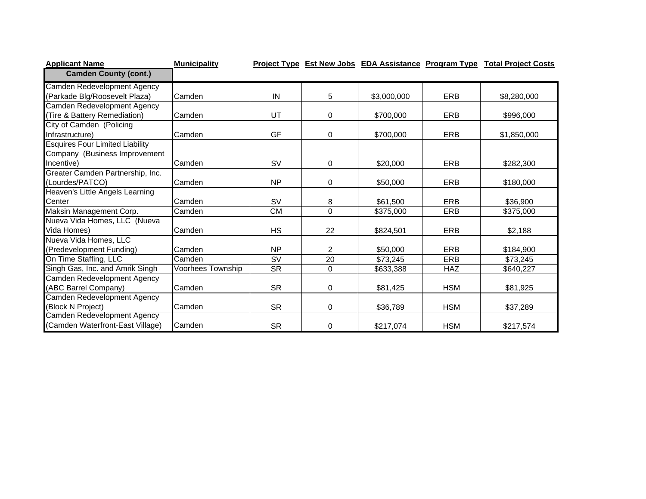| <b>Applicant Name</b>                  | <b>Municipality</b> |           |                |             |            | Project Type Est New Jobs EDA Assistance Program Type Total Project Costs |
|----------------------------------------|---------------------|-----------|----------------|-------------|------------|---------------------------------------------------------------------------|
| <b>Camden County (cont.)</b>           |                     |           |                |             |            |                                                                           |
| Camden Redevelopment Agency            |                     |           |                |             |            |                                                                           |
| (Parkade Blg/Roosevelt Plaza)          | Camden              | IN        | 5              | \$3,000,000 | <b>ERB</b> | \$8,280,000                                                               |
| Camden Redevelopment Agency            |                     |           |                |             |            |                                                                           |
| (Tire & Battery Remediation)           | Camden              | UT        | $\mathbf 0$    | \$700,000   | <b>ERB</b> | \$996,000                                                                 |
| City of Camden (Policing               |                     |           |                |             |            |                                                                           |
| Infrastructure)                        | Camden              | GF        | 0              | \$700,000   | <b>ERB</b> | \$1,850,000                                                               |
| <b>Esquires Four Limited Liability</b> |                     |           |                |             |            |                                                                           |
| Company (Business Improvement          |                     |           |                |             |            |                                                                           |
| Incentive)                             | Camden              | <b>SV</b> | 0              | \$20,000    | <b>ERB</b> | \$282,300                                                                 |
| Greater Camden Partnership, Inc.       |                     |           |                |             |            |                                                                           |
| (Lourdes/PATCO)                        | Camden              | <b>NP</b> | 0              | \$50,000    | ERB        | \$180,000                                                                 |
| Heaven's Little Angels Learning        |                     |           |                |             |            |                                                                           |
| Center                                 | Camden              | <b>SV</b> | 8              | \$61,500    | <b>ERB</b> | \$36,900                                                                  |
| Maksin Management Corp.                | Camden              | <b>CM</b> | $\Omega$       | \$375,000   | <b>ERB</b> | \$375,000                                                                 |
| Nueva Vida Homes, LLC (Nueva           |                     |           |                |             |            |                                                                           |
| Vida Homes)                            | Camden              | <b>HS</b> | 22             | \$824,501   | <b>ERB</b> | \$2,188                                                                   |
| Nueva Vida Homes, LLC                  |                     |           |                |             |            |                                                                           |
| (Predevelopment Funding)               | Camden              | <b>NP</b> | $\overline{2}$ | \$50,000    | ERB        | \$184,900                                                                 |
| On Time Staffing, LLC                  | Camden              | SV        | 20             | \$73,245    | <b>ERB</b> | \$73,245                                                                  |
| Singh Gas, Inc. and Amrik Singh        | Voorhees Township   | <b>SR</b> | 0              | \$633,388   | <b>HAZ</b> | \$640,227                                                                 |
| Camden Redevelopment Agency            |                     |           |                |             |            |                                                                           |
| (ABC Barrel Company)                   | Camden              | <b>SR</b> | 0              | \$81,425    | <b>HSM</b> | \$81,925                                                                  |
| Camden Redevelopment Agency            |                     |           |                |             |            |                                                                           |
| (Block N Project)                      | Camden              | <b>SR</b> | $\mathbf 0$    | \$36,789    | <b>HSM</b> | \$37,289                                                                  |
| Camden Redevelopment Agency            |                     |           |                |             |            |                                                                           |
| (Camden Waterfront-East Village)       | Camden              | <b>SR</b> | 0              | \$217,074   | <b>HSM</b> | \$217,574                                                                 |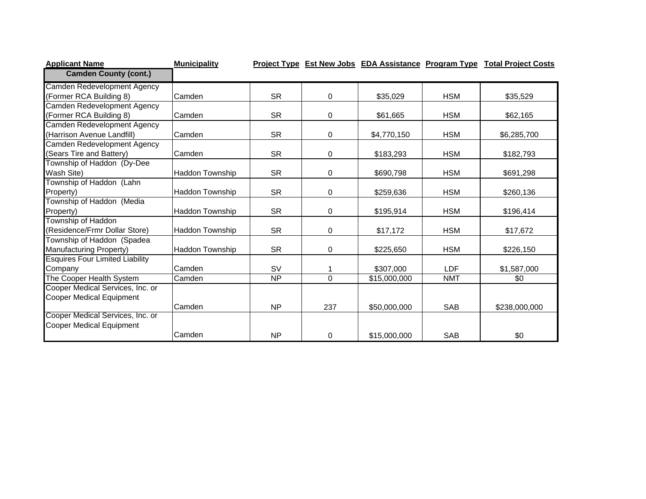| <b>Applicant Name</b>                  | <b>Municipality</b>    |           |                |                          |            | <b>Project Type Est New Jobs EDA Assistance Program Type Total Project Costs</b> |
|----------------------------------------|------------------------|-----------|----------------|--------------------------|------------|----------------------------------------------------------------------------------|
| <b>Camden County (cont.)</b>           |                        |           |                |                          |            |                                                                                  |
| Camden Redevelopment Agency            |                        |           |                |                          |            |                                                                                  |
| (Former RCA Building 8)                | Camden                 | <b>SR</b> | 0              | \$35,029                 | <b>HSM</b> | \$35,529                                                                         |
| Camden Redevelopment Agency            |                        |           |                |                          |            |                                                                                  |
| (Former RCA Building 8)                | Camden                 | <b>SR</b> | 0              | \$61,665                 | <b>HSM</b> | \$62,165                                                                         |
| Camden Redevelopment Agency            |                        |           |                |                          |            |                                                                                  |
| (Harrison Avenue Landfill)             | Camden                 | <b>SR</b> | 0              | \$4,770,150              | <b>HSM</b> | \$6,285,700                                                                      |
| Camden Redevelopment Agency            |                        |           |                |                          |            |                                                                                  |
| (Sears Tire and Battery)               | Camden                 | <b>SR</b> | $\mathbf 0$    | \$183,293                | <b>HSM</b> | \$182,793                                                                        |
| Township of Haddon (Dy-Dee             |                        |           |                |                          |            |                                                                                  |
| Wash Site)                             | <b>Haddon Township</b> | <b>SR</b> | 0              | \$690,798                | <b>HSM</b> | \$691,298                                                                        |
| Township of Haddon (Lahn               |                        |           |                |                          |            |                                                                                  |
| Property)                              | Haddon Township        | <b>SR</b> | 0              | \$259,636                | <b>HSM</b> | \$260,136                                                                        |
| Township of Haddon (Media              |                        |           |                |                          |            |                                                                                  |
| Property)                              | <b>Haddon Township</b> | <b>SR</b> | 0              | \$195,914                | <b>HSM</b> | \$196,414                                                                        |
| Township of Haddon                     |                        |           |                |                          |            |                                                                                  |
| (Residence/Frmr Dollar Store)          | Haddon Township        | <b>SR</b> | 0              | \$17,172                 | <b>HSM</b> | \$17,672                                                                         |
| Township of Haddon (Spadea             |                        |           |                |                          |            |                                                                                  |
| Manufacturing Property)                | Haddon Township        | <b>SR</b> | 0              | \$225,650                | <b>HSM</b> | \$226,150                                                                        |
| <b>Esquires Four Limited Liability</b> |                        |           |                |                          |            |                                                                                  |
| Company                                | Camden                 | <b>SV</b> |                | \$307,000                | <b>LDF</b> | \$1,587,000                                                                      |
| The Cooper Health System               | Camden                 | NP        | $\overline{0}$ | $\overline{$15,000,000}$ | <b>NMT</b> | \$0                                                                              |
| Cooper Medical Services, Inc. or       |                        |           |                |                          |            |                                                                                  |
| Cooper Medical Equipment               |                        |           |                |                          |            |                                                                                  |
|                                        | Camden                 | <b>NP</b> | 237            | \$50,000,000             | <b>SAB</b> | \$238,000,000                                                                    |
| Cooper Medical Services, Inc. or       |                        |           |                |                          |            |                                                                                  |
| <b>Cooper Medical Equipment</b>        |                        |           |                |                          |            |                                                                                  |
|                                        | Camden                 | <b>NP</b> | 0              | \$15,000,000             | <b>SAB</b> | \$0                                                                              |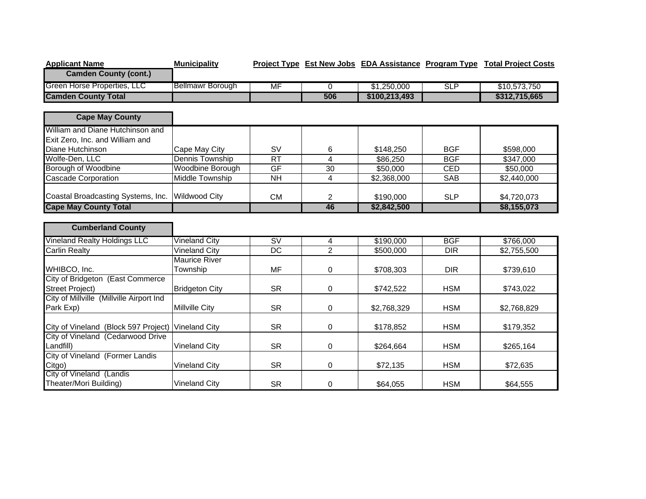| <b>Applicant Name</b>                    | <b>Municipality</b>     |                 |                |               |            | Project Type Est New Jobs EDA Assistance Program Type Total Project Costs |
|------------------------------------------|-------------------------|-----------------|----------------|---------------|------------|---------------------------------------------------------------------------|
| <b>Camden County (cont.)</b>             |                         |                 |                |               |            |                                                                           |
| Green Horse Properties, LLC              | <b>Bellmawr Borough</b> | <b>MF</b>       | 0              | \$1,250,000   | <b>SLP</b> | \$10,573,750                                                              |
| <b>Camden County Total</b>               |                         |                 | 506            | \$100,213,493 |            | \$312,715,665                                                             |
|                                          |                         |                 |                |               |            |                                                                           |
| <b>Cape May County</b>                   |                         |                 |                |               |            |                                                                           |
| William and Diane Hutchinson and         |                         |                 |                |               |            |                                                                           |
| Exit Zero, Inc. and William and          |                         |                 |                |               |            |                                                                           |
| Diane Hutchinson                         | Cape May City           | <b>SV</b>       | 6              | \$148,250     | <b>BGF</b> | \$598,000                                                                 |
| Wolfe-Den, LLC                           | Dennis Township         | RT              | 4              | \$86,250      | <b>BGF</b> | \$347,000                                                                 |
| Borough of Woodbine                      | Woodbine Borough        | GF              | 30             | \$50,000      | <b>CED</b> | \$50,000                                                                  |
| <b>Cascade Corporation</b>               | <b>Middle Township</b>  | $\overline{NH}$ | 4              | \$2,368,000   | <b>SAB</b> | \$2,440,000                                                               |
|                                          |                         |                 |                |               |            |                                                                           |
| Coastal Broadcasting Systems, Inc.       | <b>Wildwood City</b>    | <b>CM</b>       | $\overline{2}$ | \$190,000     | <b>SLP</b> | \$4,720,073                                                               |
| <b>Cape May County Total</b>             |                         |                 | 46             | \$2,842,500   |            | \$8,155,073                                                               |
|                                          |                         |                 |                |               |            |                                                                           |
| <b>Cumberland County</b>                 |                         |                 |                |               |            |                                                                           |
| <b>Vineland Realty Holdings LLC</b>      | <b>Vineland City</b>    | SV              | 4              | \$190,000     | <b>BGF</b> | \$766,000                                                                 |
| <b>Carlin Realty</b>                     | <b>Vineland City</b>    | <b>DC</b>       | $\overline{2}$ | \$500,000     | <b>DIR</b> | \$2,755,500                                                               |
|                                          | <b>Maurice River</b>    |                 |                |               |            |                                                                           |
| WHIBCO, Inc.                             | Township                | <b>MF</b>       | 0              | \$708,303     | <b>DIR</b> | \$739,610                                                                 |
| City of Bridgeton (East Commerce         |                         |                 |                |               |            |                                                                           |
| <b>Street Project)</b>                   | <b>Bridgeton City</b>   | <b>SR</b>       | 0              | \$742,522     | <b>HSM</b> | \$743,022                                                                 |
| City of Millville (Millville Airport Ind |                         |                 |                |               |            |                                                                           |
| Park Exp)                                | <b>Millville City</b>   | <b>SR</b>       | $\mathbf 0$    | \$2,768,329   | <b>HSM</b> | \$2,768,829                                                               |
|                                          |                         |                 |                |               |            |                                                                           |
| City of Vineland (Block 597 Project)     | <b>Vineland City</b>    | <b>SR</b>       | 0              | \$178,852     | <b>HSM</b> | \$179,352                                                                 |
| City of Vineland (Cedarwood Drive        |                         |                 |                |               |            |                                                                           |
| Landfill)                                | <b>Vineland City</b>    | <b>SR</b>       | $\mathbf 0$    | \$264,664     | <b>HSM</b> | \$265,164                                                                 |
| City of Vineland (Former Landis          |                         |                 |                |               |            |                                                                           |
| Citgo)                                   | <b>Vineland City</b>    | <b>SR</b>       | 0              | \$72,135      | <b>HSM</b> | \$72,635                                                                  |
| City of Vineland (Landis                 |                         |                 |                |               |            |                                                                           |
| Theater/Mori Building)                   | <b>Vineland City</b>    | <b>SR</b>       | 0              | \$64,055      | <b>HSM</b> | \$64,555                                                                  |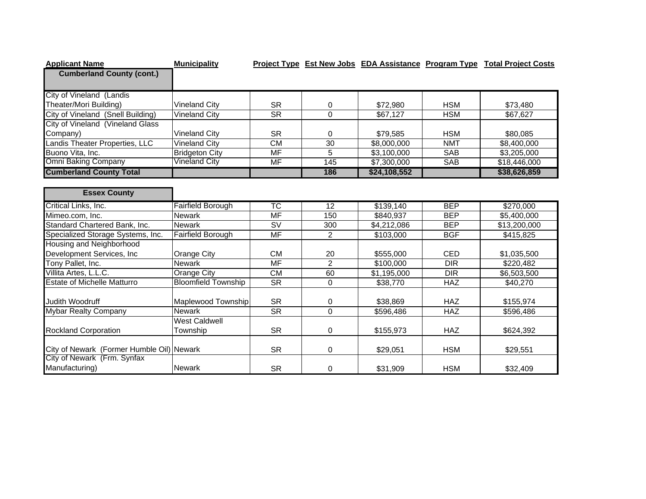| <b>Applicant Name</b>                                                    | <b>Municipality</b>        |                          |                 |              |                  | Project Type Est New Jobs EDA Assistance Program Type Total Project Costs |
|--------------------------------------------------------------------------|----------------------------|--------------------------|-----------------|--------------|------------------|---------------------------------------------------------------------------|
| <b>Cumberland County (cont.)</b>                                         |                            |                          |                 |              |                  |                                                                           |
|                                                                          |                            |                          |                 |              |                  |                                                                           |
| <b>City of Vineland (Landis</b>                                          |                            |                          |                 |              |                  |                                                                           |
| Theater/Mori Building)                                                   | <b>Vineland City</b>       | <b>SR</b>                | 0               | \$72,980     | <b>HSM</b>       | \$73,480                                                                  |
| City of Vineland (Snell Building)                                        | <b>Vineland City</b>       | $\overline{\text{SR}}$   | 0               | \$67,127     | <b>HSM</b>       | \$67,627                                                                  |
| City of Vineland (Vineland Glass                                         |                            |                          |                 |              |                  |                                                                           |
| Company)                                                                 | <b>Vineland City</b>       | <b>SR</b>                | 0               | \$79,585     | <b>HSM</b>       | \$80,085                                                                  |
| Landis Theater Properties, LLC                                           | Vineland Citv              | $\overline{\text{CM}}$   | 30              | \$8,000,000  | <b>NMT</b>       | \$8,400,000                                                               |
| Buono Vita, Inc.                                                         | <b>Bridgeton City</b>      | $\overline{\mathsf{MF}}$ | 5               | \$3,100,000  | <b>SAB</b>       | \$3,205,000                                                               |
| <b>Omni Baking Company</b>                                               | Vineland City              | MF                       | 145             | \$7,300,000  | <b>SAB</b>       | \$18,446,000                                                              |
| <b>Cumberland County Total</b>                                           |                            |                          | 186             | \$24,108,552 |                  | \$38,626,859                                                              |
|                                                                          |                            |                          |                 |              |                  |                                                                           |
| <b>Essex County</b>                                                      |                            |                          |                 |              |                  |                                                                           |
| Critical Links, Inc.                                                     | Fairfield Borough          | $\overline{\text{TC}}$   | $\overline{12}$ | \$139,140    | <b>BEP</b>       | \$270,000                                                                 |
| Mimeo.com, Inc.                                                          | <b>Newark</b>              | MF                       | 150             | \$840.937    | <b>BEP</b>       | \$5,400,000                                                               |
| Standard Chartered Bank, Inc.                                            | <b>Newark</b>              | $\overline{\mathsf{SV}}$ | 300             | \$4,212,086  | <b>BEP</b>       | \$13,200,000                                                              |
| Specialized Storage Systems, Inc.                                        | <b>Fairfield Borough</b>   | <b>MF</b>                | $\overline{2}$  | \$103,000    | <b>BGF</b>       | \$415,825                                                                 |
| Housing and Neighborhood                                                 |                            |                          |                 |              |                  |                                                                           |
| Development Services, Inc.                                               | <b>Orange City</b>         | <b>CM</b>                | 20              | \$555,000    | <b>CED</b>       | \$1,035,500                                                               |
| Tony Pallet, Inc.                                                        | <b>Newark</b>              | $\overline{\mathsf{MF}}$ | 2               | \$100,000    | $\overline{DIR}$ | \$220,482                                                                 |
| Villita Artes, L.L.C.                                                    | Orange City                | <b>CM</b>                | 60              | \$1,195,000  | <b>DIR</b>       | \$6,503,500                                                               |
| <b>Estate of Michelle Matturro</b>                                       | <b>Bloomfield Township</b> | <b>SR</b>                | 0               | \$38,770     | <b>HAZ</b>       | \$40,270                                                                  |
|                                                                          |                            |                          |                 |              |                  |                                                                           |
| Judith Woodruff                                                          | Maplewood Township         | <b>SR</b>                | 0               | \$38,869     | <b>HAZ</b>       | \$155,974                                                                 |
| <b>Mybar Realty Company</b>                                              | <b>Newark</b>              | $\overline{\text{SR}}$   | $\mathbf 0$     | \$596,486    | <b>HAZ</b>       | \$596,486                                                                 |
|                                                                          | <b>West Caldwell</b>       |                          |                 |              |                  |                                                                           |
| <b>Rockland Corporation</b>                                              | Township                   | <b>SR</b>                | 0               | \$155,973    | <b>HAZ</b>       | \$624,392                                                                 |
|                                                                          |                            |                          |                 |              |                  |                                                                           |
| City of Newark (Former Humble Oil) Newark<br>City of Newark (Frm. Synfax |                            | <b>SR</b>                | 0               | \$29,051     | <b>HSM</b>       | \$29,551                                                                  |
| Manufacturing)                                                           | <b>Newark</b>              | <b>SR</b>                | 0               | \$31,909     | <b>HSM</b>       | \$32,409                                                                  |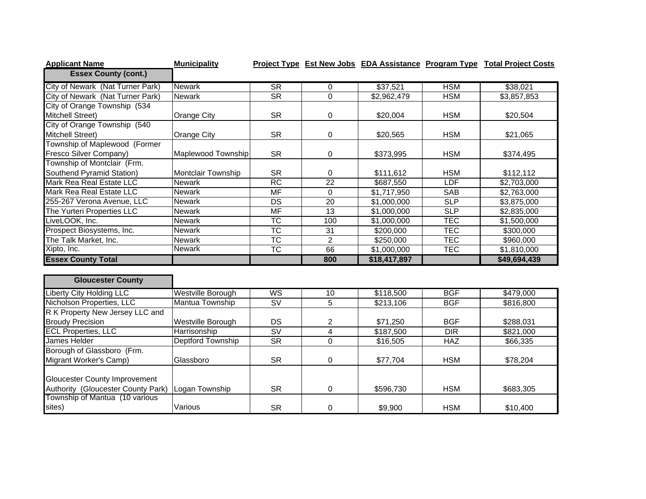| <b>Applicant Name</b>            | <b>Municipality</b> |           |               |              |            | Project Type Est New Jobs EDA Assistance Program Type Total Project Costs |
|----------------------------------|---------------------|-----------|---------------|--------------|------------|---------------------------------------------------------------------------|
| <b>Essex County (cont.)</b>      |                     |           |               |              |            |                                                                           |
| City of Newark (Nat Turner Park) | <b>Newark</b>       | <b>SR</b> | 0             | \$37,521     | <b>HSM</b> | \$38,021                                                                  |
| City of Newark (Nat Turner Park) | <b>Newark</b>       | <b>SR</b> | $\mathbf 0$   | \$2,962,479  | <b>HSM</b> | \$3,857,853                                                               |
| City of Orange Township (534     |                     |           |               |              |            |                                                                           |
| Mitchell Street)                 | Orange City         | <b>SR</b> | 0             | \$20,004     | <b>HSM</b> | \$20,504                                                                  |
| City of Orange Township (540     |                     |           |               |              |            |                                                                           |
| Mitchell Street)                 | <b>Orange City</b>  | <b>SR</b> | 0             | \$20,565     | <b>HSM</b> | \$21,065                                                                  |
| Township of Maplewood (Former    |                     |           |               |              |            |                                                                           |
| Fresco Silver Company)           | Maplewood Township  | <b>SR</b> | 0             | \$373,995    | <b>HSM</b> | \$374,495                                                                 |
| Township of Montclair (Frm.      |                     |           |               |              |            |                                                                           |
| Southend Pyramid Station)        | Montclair Township  | <b>SR</b> | $\Omega$      | \$111,612    | <b>HSM</b> | \$112,112                                                                 |
| Mark Rea Real Estate LLC         | <b>Newark</b>       | <b>RC</b> | 22            | \$687,550    | <b>LDF</b> | \$2,703,000                                                               |
| Mark Rea Real Estate LLC         | <b>Newark</b>       | MF        | 0             | \$1,717,950  | SAB        | \$2,763,000                                                               |
| 255-267 Verona Avenue, LLC       | <b>Newark</b>       | DS        | 20            | \$1,000,000  | <b>SLP</b> | \$3,875,000                                                               |
| The Yurteri Properties LLC       | Newark              | MF        | 13            | \$1,000,000  | <b>SLP</b> | \$2,835,000                                                               |
| LiveLOOK, Inc.                   | <b>Newark</b>       | ТC        | 100           | \$1,000,000  | <b>TEC</b> | \$1,500,000                                                               |
| Prospect Biosystems, Inc.        | Newark              | <b>TC</b> | 31            | \$200,000    | <b>TEC</b> | \$300,000                                                                 |
| The Talk Market, Inc.            | Newark              | <b>TC</b> | $\mathcal{P}$ | \$250,000    | <b>TEC</b> | \$960,000                                                                 |
| Xipto, Inc.                      | Newark              | TC        | 66            | \$1,000,000  | TEC        | \$1,810,000                                                               |
| <b>Essex County Total</b>        |                     |           | 800           | \$18,417,897 |            | \$49,694,439                                                              |

| <b>Gloucester County</b>             |                   |           |          |           |            |           |
|--------------------------------------|-------------------|-----------|----------|-----------|------------|-----------|
| <b>Liberty City Holding LLC</b>      | Westville Borough | <b>WS</b> | 10       | \$118,500 | <b>BGF</b> | \$479,000 |
| Nicholson Properties, LLC            | Mantua Township   | <b>SV</b> | 5        | \$213,106 | <b>BGF</b> | \$816,800 |
| R K Property New Jersey LLC and      |                   |           |          |           |            |           |
| <b>Broudy Precision</b>              | Westville Borough | DS.       |          | \$71,250  | <b>BGF</b> | \$288,031 |
| <b>ECL Properties, LLC</b>           | Harrisonship      | <b>SV</b> | 4        | \$187,500 | DIR.       | \$821,000 |
| James Helder                         | Deptford Township | <b>SR</b> | 0        | \$16,505  | <b>HAZ</b> | \$66,335  |
| Borough of Glassboro (Frm.           |                   |           |          |           |            |           |
| Migrant Worker's Camp)               | Glassboro         | <b>SR</b> | $\Omega$ | \$77,704  | <b>HSM</b> | \$78,204  |
| <b>Gloucester County Improvement</b> |                   |           |          |           |            |           |
| Authority (Gloucester County Park)   | Logan Township    | <b>SR</b> |          | \$596,730 | <b>HSM</b> | \$683,305 |
| Township of Mantua (10 various       |                   |           |          |           |            |           |
| sites)                               | Various           | SR        | 0        | \$9,900   | <b>HSM</b> | \$10,400  |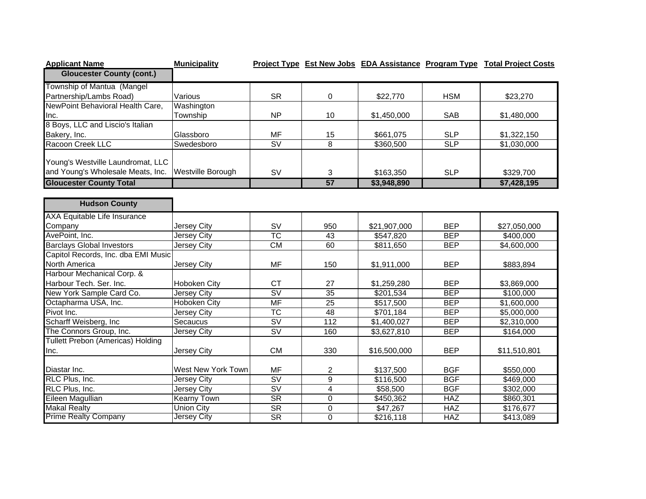| <b>Applicant Name</b>                    | <b>Municipality</b> |                                   |                 |              |            | Project Type Est New Jobs EDA Assistance Program Type Total Project Costs |
|------------------------------------------|---------------------|-----------------------------------|-----------------|--------------|------------|---------------------------------------------------------------------------|
| <b>Gloucester County (cont.)</b>         |                     |                                   |                 |              |            |                                                                           |
| Township of Mantua (Mangel               |                     |                                   |                 |              |            |                                                                           |
| Partnership/Lambs Road)                  | Various             | <b>SR</b>                         | 0               | \$22,770     | <b>HSM</b> | \$23,270                                                                  |
| NewPoint Behavioral Health Care,         | Washington          |                                   |                 |              |            |                                                                           |
| Inc.                                     | Township            | <b>NP</b>                         | 10              | \$1,450,000  | <b>SAB</b> | \$1,480,000                                                               |
| 8 Boys, LLC and Liscio's Italian         |                     |                                   |                 |              |            |                                                                           |
| Bakery, Inc.                             | Glassboro           | MF                                | 15              | \$661,075    | <b>SLP</b> | \$1,322,150                                                               |
| Racoon Creek LLC                         | Swedesboro          | $\overline{\mathsf{SV}}$          | $\overline{8}$  | \$360,500    | SLP        | \$1,030,000                                                               |
| Young's Westville Laundromat, LLC        |                     |                                   |                 |              |            |                                                                           |
| and Young's Wholesale Meats, Inc.        | Westville Borough   | SV                                | 3               | \$163,350    | <b>SLP</b> | \$329,700                                                                 |
| <b>Gloucester County Total</b>           |                     |                                   | 57              | \$3,948,890  |            | \$7,428,195                                                               |
|                                          |                     |                                   |                 |              |            |                                                                           |
| <b>Hudson County</b>                     |                     |                                   |                 |              |            |                                                                           |
| <b>AXA Equitable Life Insurance</b>      |                     |                                   |                 |              |            |                                                                           |
| Company                                  | Jersey City         | SV                                | 950             | \$21,907,000 | <b>BEP</b> | \$27,050,000                                                              |
| AvePoint, Inc.                           | <b>Jersey City</b>  | $\overline{\text{TC}}$            | 43              | \$547,820    | <b>BEP</b> | \$400,000                                                                 |
| <b>Barclays Global Investors</b>         | Jersey City         | CM                                | 60              | \$811,650    | <b>BEP</b> | \$4,600,000                                                               |
| Capitol Records, Inc. dba EMI Music      |                     |                                   |                 |              |            |                                                                           |
| North America                            | Jersey City         | MF                                | 150             | \$1,911,000  | <b>BEP</b> | \$883,894                                                                 |
| Harbour Mechanical Corp. &               |                     |                                   |                 |              |            |                                                                           |
| Harbour Tech. Ser. Inc.                  | Hoboken City        | <b>CT</b>                         | 27              | \$1,259,280  | <b>BEP</b> | \$3,869,000                                                               |
| New York Sample Card Co.                 | Jersey City         | SV                                | 35              | \$201,534    | <b>BEP</b> | \$100,000                                                                 |
| Octapharma USA, Inc.                     | <b>Hoboken City</b> | <b>MF</b>                         | $\overline{25}$ | \$517,500    | <b>BEP</b> | \$1,600,000                                                               |
| Pivot Inc.                               | Jersey City         | $\overline{\text{TC}}$            | 48              | \$701,184    | <b>BEP</b> | \$5,000,000                                                               |
| Scharff Weisberg, Inc                    | Secaucus            | $\overline{\mathsf{S}\mathsf{V}}$ | 112             | \$1,400,027  | <b>BEP</b> | \$2,310,000                                                               |
| The Connors Group, Inc.                  | Jersey City         | $\overline{\mathsf{S}\mathsf{V}}$ | 160             | \$3,627,810  | <b>BEP</b> | \$164,000                                                                 |
| <b>Tullett Prebon (Americas) Holding</b> |                     |                                   |                 |              |            |                                                                           |
| Inc.                                     | Jersey City         | CM                                | 330             | \$16,500,000 | <b>BEP</b> | \$11,510,801                                                              |
| Diastar Inc.                             | West New York Town  | MF                                | 2               | \$137,500    | <b>BGF</b> | \$550,000                                                                 |
| RLC Plus, Inc.                           | Jersey City         | $\overline{\mathsf{SV}}$          | $\overline{9}$  | \$116,500    | <b>BGF</b> | \$469,000                                                                 |
| RLC Plus, Inc.                           | <b>Jersey City</b>  | $\overline{\mathsf{SV}}$          | $\overline{4}$  | \$58,500     | <b>BGF</b> | \$302,000                                                                 |
| Eileen Magullian                         | <b>Kearny Town</b>  | $\overline{\text{SR}}$            | $\mathbf 0$     | \$450,362    | <b>HAZ</b> | \$860,301                                                                 |
| <b>Makal Realty</b>                      | <b>Union City</b>   | $\overline{\text{SR}}$            | 0               | \$47,267     | <b>HAZ</b> | \$176,677                                                                 |
| Prime Realty Company                     | Jersey City         | <b>SR</b>                         | $\overline{0}$  | \$216,118    | <b>HAZ</b> | \$413,089                                                                 |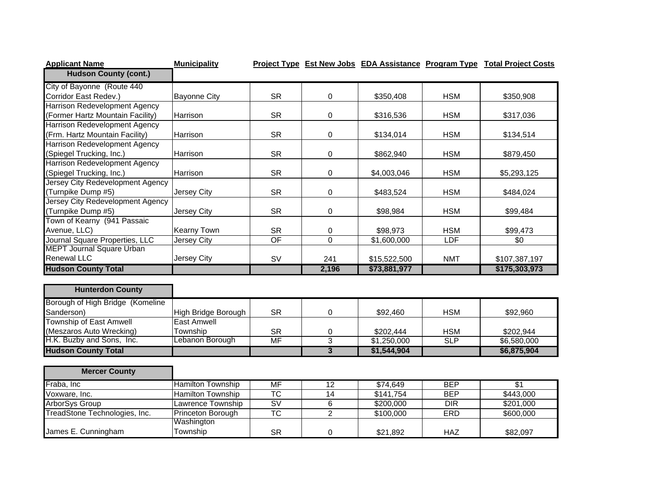| <b>Applicant Name</b>            | <b>Municipality</b>      |                        |                 |                         |            | Project Type Est New Jobs EDA Assistance Program Type Total Project Costs |
|----------------------------------|--------------------------|------------------------|-----------------|-------------------------|------------|---------------------------------------------------------------------------|
| <b>Hudson County (cont.)</b>     |                          |                        |                 |                         |            |                                                                           |
| City of Bayonne (Route 440       |                          |                        |                 |                         |            |                                                                           |
| Corridor East Redev.)            | <b>Bayonne City</b>      | <b>SR</b>              | 0               | \$350,408               | <b>HSM</b> | \$350,908                                                                 |
| Harrison Redevelopment Agency    |                          |                        |                 |                         |            |                                                                           |
| (Former Hartz Mountain Facility) | Harrison                 | <b>SR</b>              | 0               | \$316,536               | <b>HSM</b> | \$317,036                                                                 |
| Harrison Redevelopment Agency    |                          |                        |                 |                         |            |                                                                           |
| (Frm. Hartz Mountain Facility)   | Harrison                 | <b>SR</b>              | 0               | \$134,014               | <b>HSM</b> | \$134,514                                                                 |
| Harrison Redevelopment Agency    |                          |                        |                 |                         |            |                                                                           |
| (Spiegel Trucking, Inc.)         | Harrison                 | <b>SR</b>              | 0               | \$862,940               | <b>HSM</b> | \$879,450                                                                 |
| Harrison Redevelopment Agency    |                          |                        |                 |                         |            |                                                                           |
| (Spiegel Trucking, Inc.)         | Harrison                 | <b>SR</b>              | 0               | \$4,003,046             | <b>HSM</b> | \$5,293,125                                                               |
| Jersey City Redevelopment Agency |                          |                        |                 |                         |            |                                                                           |
| (Turnpike Dump #5)               | Jersey City              | <b>SR</b>              | 0               | \$483,524               | <b>HSM</b> | \$484,024                                                                 |
| Jersey City Redevelopment Agency |                          |                        |                 |                         |            |                                                                           |
| (Turnpike Dump #5)               | Jersey City              | <b>SR</b>              | 0               | \$98,984                | <b>HSM</b> | \$99,484                                                                  |
| Town of Kearny (941 Passaic      |                          |                        |                 |                         |            |                                                                           |
| Avenue, LLC)                     | Kearny Town              | <b>SR</b>              | 0               | \$98,973                | <b>HSM</b> | \$99,473                                                                  |
| Journal Square Properties, LLC   | <b>Jersey City</b>       | OF                     | $\overline{0}$  | $\overline{$1,600,000}$ | LDF        | $\sqrt{6}$                                                                |
| <b>MEPT Journal Square Urban</b> |                          |                        |                 |                         |            |                                                                           |
| <b>Renewal LLC</b>               | Jersey City              | <b>SV</b>              | 241             | \$15,522,500            | <b>NMT</b> | \$107,387,197                                                             |
| <b>Hudson County Total</b>       |                          |                        | 2,196           | \$73,881,977            |            | \$175,303,973                                                             |
| <b>Hunterdon County</b>          |                          |                        |                 |                         |            |                                                                           |
| Borough of High Bridge (Komeline |                          |                        |                 |                         |            |                                                                           |
| Sanderson)                       | High Bridge Borough      | <b>SR</b>              | 0               | \$92,460                | <b>HSM</b> | \$92,960                                                                  |
| Township of East Amwell          | <b>East Amwell</b>       |                        |                 |                         |            |                                                                           |
| (Meszaros Auto Wrecking)         | Township                 | <b>SR</b>              | 0               | \$202,444               | <b>HSM</b> | \$202,944                                                                 |
| H.K. Buzby and Sons, Inc.        | Lebanon Borough          | <b>MF</b>              | $\overline{3}$  | \$1,250,000             | SLP        | \$6,580,000                                                               |
| <b>Hudson County Total</b>       |                          |                        | $\overline{3}$  | \$1,544,904             |            | \$6,875,904                                                               |
|                                  |                          |                        |                 |                         |            |                                                                           |
| <b>Mercer County</b>             |                          |                        |                 |                         |            |                                                                           |
| Fraba, Inc                       | <b>Hamilton Township</b> | <b>MF</b>              | 12              | \$74,649                | <b>BEP</b> | \$1                                                                       |
| Voxware, Inc.                    | <b>Hamilton Township</b> | $\overline{\text{TC}}$ | $\overline{14}$ | \$141,754               | <b>BEP</b> | \$443,000                                                                 |
| ArborSys Group                   | Lawrence Township        | SV                     | 6               | \$200,000               | <b>DIR</b> | \$201,000                                                                 |
| TreadStone Technologies, Inc.    | Princeton Borough        | $\overline{\text{TC}}$ | $\overline{2}$  | \$100,000               | <b>ERD</b> | \$600,000                                                                 |
|                                  | Washington               |                        |                 |                         |            |                                                                           |
| James E. Cunningham              | Township                 | <b>SR</b>              | 0               | \$21,892                | <b>HAZ</b> | \$82,097                                                                  |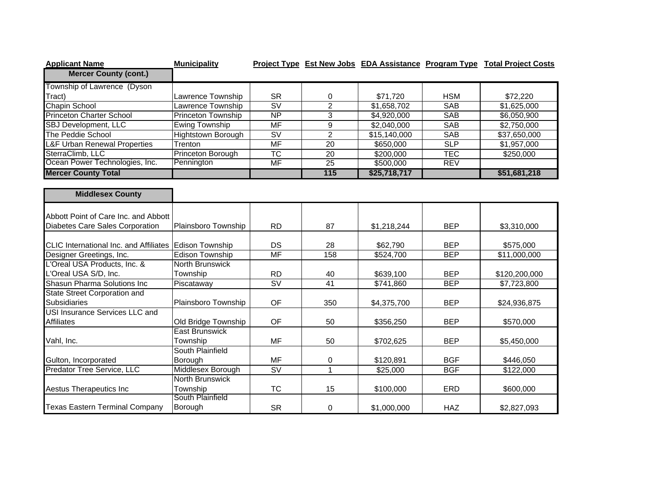| <b>Applicant Name</b>                         | <b>Municipality</b>       |                                   |                  |              |            | Project Type Est New Jobs EDA Assistance Program Type Total Project Costs |
|-----------------------------------------------|---------------------------|-----------------------------------|------------------|--------------|------------|---------------------------------------------------------------------------|
| <b>Mercer County (cont.)</b>                  |                           |                                   |                  |              |            |                                                                           |
| Township of Lawrence (Dyson                   |                           |                                   |                  |              |            |                                                                           |
| Tract)                                        | Lawrence Township         | <b>SR</b>                         | 0                | \$71,720     | <b>HSM</b> | \$72,220                                                                  |
| Chapin School                                 | Lawrence Township         | $\overline{\mathsf{S}\mathsf{V}}$ | $\overline{2}$   | \$1,658,702  | <b>SAB</b> | \$1,625,000                                                               |
| <b>Princeton Charter School</b>               | Princeton Township        | NP                                | $\overline{3}$   | \$4,920,000  | <b>SAB</b> | \$6,050,900                                                               |
| <b>SBJ Development, LLC</b>                   | <b>Ewing Township</b>     | <b>MF</b>                         | $\boldsymbol{9}$ | \$2,040,000  | SAB        | \$2,750,000                                                               |
| The Peddie School                             | <b>Hightstown Borough</b> | $\overline{\mathsf{S}\mathsf{V}}$ | $\overline{2}$   | \$15,140,000 | <b>SAB</b> | \$37,650,000                                                              |
| <b>L&amp;F Urban Renewal Properties</b>       | Trenton                   | <b>MF</b>                         | $\overline{20}$  | \$650,000    | SLP        | \$1,957,000                                                               |
| SterraClimb, LLC                              | Princeton Borough         | $\overline{\text{TC}}$            | $\overline{20}$  | \$200,000    | <b>TEC</b> | \$250,000                                                                 |
| Ocean Power Technologies, Inc.                | Pennington                | <b>MF</b>                         | $\overline{25}$  | \$500,000    | <b>REV</b> |                                                                           |
| <b>Mercer County Total</b>                    |                           |                                   | $\overline{115}$ | \$25,718,717 |            | \$51,681,218                                                              |
|                                               |                           |                                   |                  |              |            |                                                                           |
| <b>Middlesex County</b>                       |                           |                                   |                  |              |            |                                                                           |
| Abbott Point of Care Inc. and Abbott          |                           |                                   |                  |              |            |                                                                           |
| Diabetes Care Sales Corporation               | Plainsboro Township       | <b>RD</b>                         | 87               | \$1,218,244  | <b>BEP</b> | \$3,310,000                                                               |
|                                               |                           |                                   |                  |              |            |                                                                           |
| <b>CLIC</b> International Inc. and Affiliates | <b>Edison Township</b>    | <b>DS</b>                         | 28               | \$62,790     | <b>BEP</b> | \$575,000                                                                 |
| Designer Greetings, Inc.                      | <b>Edison Township</b>    | <b>MF</b>                         | 158              | \$524,700    | <b>BEP</b> | \$11,000,000                                                              |
| L'Oreal USA Products, Inc. &                  | <b>North Brunswick</b>    |                                   |                  |              |            |                                                                           |
| L'Oreal USA S/D, Inc.                         | Township                  | <b>RD</b>                         | 40               | \$639,100    | <b>BEP</b> | \$120,200,000                                                             |
| Shasun Pharma Solutions Inc                   | Piscataway                | $\overline{\mathsf{sv}}$          | 41               | \$741,860    | <b>BEP</b> | \$7,723,800                                                               |
| <b>State Street Corporation and</b>           |                           |                                   |                  |              |            |                                                                           |
| <b>Subsidiaries</b>                           | Plainsboro Township       | OF                                | 350              | \$4,375,700  | <b>BEP</b> | \$24,936,875                                                              |
| <b>USI Insurance Services LLC and</b>         |                           |                                   |                  |              |            |                                                                           |
| <b>Affiliates</b>                             | Old Bridge Township       | <b>OF</b>                         | 50               | \$356,250    | <b>BEP</b> | \$570,000                                                                 |
|                                               | <b>East Brunswick</b>     |                                   |                  |              |            |                                                                           |
| Vahl, Inc.                                    | Township                  | <b>MF</b>                         | 50               | \$702,625    | <b>BEP</b> | \$5,450,000                                                               |
|                                               | South Plainfield          |                                   |                  |              |            |                                                                           |
| Gulton, Incorporated                          | Borough                   | <b>MF</b>                         | 0                | \$120,891    | <b>BGF</b> | \$446,050                                                                 |
| <b>Predator Tree Service, LLC</b>             | Middlesex Borough         | $\overline{\mathsf{S}\mathsf{V}}$ | $\overline{1}$   | \$25,000     | <b>BGF</b> | \$122,000                                                                 |
|                                               | <b>North Brunswick</b>    |                                   |                  |              |            |                                                                           |
| Aestus Therapeutics Inc                       | Township                  | <b>TC</b>                         | 15               | \$100,000    | ERD        | \$600,000                                                                 |
|                                               | South Plainfield          |                                   |                  |              |            |                                                                           |
| <b>Texas Eastern Terminal Company</b>         | Borough                   | <b>SR</b>                         | 0                | \$1,000,000  | <b>HAZ</b> | \$2,827,093                                                               |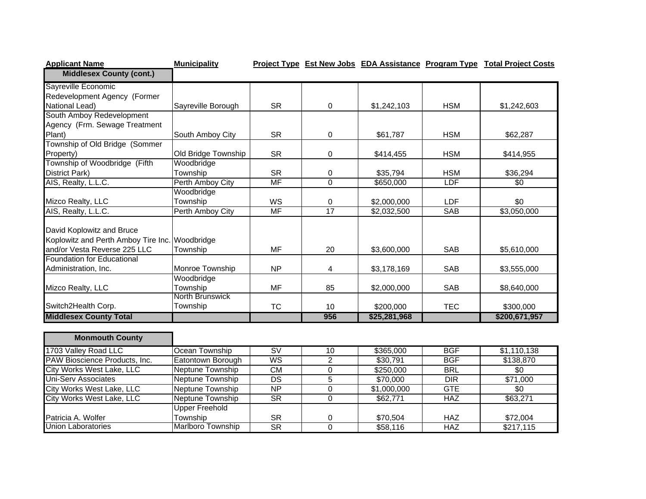| <b>Applicant Name</b>                          | <b>Municipality</b> |           |                 |              |            | <b>Project Type Est New Jobs EDA Assistance Program Type Total Project Costs</b> |
|------------------------------------------------|---------------------|-----------|-----------------|--------------|------------|----------------------------------------------------------------------------------|
| <b>Middlesex County (cont.)</b>                |                     |           |                 |              |            |                                                                                  |
| Sayreville Economic                            |                     |           |                 |              |            |                                                                                  |
| Redevelopment Agency (Former                   |                     |           |                 |              |            |                                                                                  |
| National Lead)                                 | Sayreville Borough  | <b>SR</b> | 0               | \$1,242,103  | <b>HSM</b> | \$1,242,603                                                                      |
| South Amboy Redevelopment                      |                     |           |                 |              |            |                                                                                  |
| Agency (Frm. Sewage Treatment                  |                     |           |                 |              |            |                                                                                  |
| Plant)                                         | South Amboy City    | <b>SR</b> | 0               | \$61,787     | <b>HSM</b> | \$62,287                                                                         |
| Township of Old Bridge (Sommer                 |                     |           |                 |              |            |                                                                                  |
| Property)                                      | Old Bridge Township | <b>SR</b> | 0               | \$414,455    | <b>HSM</b> | \$414,955                                                                        |
| Township of Woodbridge (Fifth                  | Woodbridge          |           |                 |              |            |                                                                                  |
| <b>District Park)</b>                          | Township            | <b>SR</b> | $\Omega$        | \$35,794     | <b>HSM</b> | \$36,294                                                                         |
| AIS, Realty, L.L.C.                            | Perth Amboy City    | MF        | $\Omega$        | \$650,000    | <b>LDF</b> | \$0                                                                              |
|                                                | Woodbridge          |           |                 |              |            |                                                                                  |
| Mizco Realty, LLC                              | Township            | <b>WS</b> | 0               | \$2,000,000  | <b>LDF</b> | \$0                                                                              |
| AIS, Realty, L.L.C.                            | Perth Amboy City    | MF        | $\overline{17}$ | \$2,032,500  | <b>SAB</b> | \$3,050,000                                                                      |
| David Koplowitz and Bruce                      |                     |           |                 |              |            |                                                                                  |
| Koplowitz and Perth Amboy Tire Inc. Woodbridge |                     |           |                 |              |            |                                                                                  |
| and/or Vesta Reverse 225 LLC                   | Township            | <b>MF</b> | 20              | \$3,600,000  | <b>SAB</b> | \$5,610,000                                                                      |
| <b>Foundation for Educational</b>              |                     |           |                 |              |            |                                                                                  |
| Administration, Inc.                           | Monroe Township     | <b>NP</b> | 4               | \$3,178,169  | <b>SAB</b> | \$3,555,000                                                                      |
|                                                | Woodbridge          |           |                 |              |            |                                                                                  |
| Mizco Realty, LLC                              | Township            | MF        | 85              | \$2,000,000  | <b>SAB</b> | \$8,640,000                                                                      |
|                                                | North Brunswick     |           |                 |              |            |                                                                                  |
| Switch2Health Corp.                            | Township            | <b>TC</b> | 10              | \$200,000    | <b>TEC</b> | \$300,000                                                                        |
| <b>Middlesex County Total</b>                  |                     |           | 956             | \$25,281,968 |            | \$200,671,957                                                                    |
|                                                |                     |           |                 |              |            |                                                                                  |

| <b>Monmouth County</b>        |                   |           |    |             |            |             |
|-------------------------------|-------------------|-----------|----|-------------|------------|-------------|
| 1703 Valley Road LLC          | Ocean Township    | <b>SV</b> | 10 | \$365,000   | <b>BGF</b> | \$1,110,138 |
| PAW Bioscience Products, Inc. | Eatontown Borough | WS        |    | \$30,791    | <b>BGF</b> | \$138,870   |
| City Works West Lake, LLC     | Neptune Township  | CM.       |    | \$250,000   | <b>BRL</b> | \$0         |
| Uni-Serv Associates           | Neptune Township  | <b>DS</b> |    | \$70,000    | <b>DIR</b> | \$71,000    |
| City Works West Lake, LLC     | Neptune Township  | NP.       |    | \$1,000,000 | <b>GTE</b> | \$0         |
| City Works West Lake, LLC     | Neptune Township  | <b>SR</b> |    | \$62,771    | <b>HAZ</b> | \$63,271    |
|                               | Upper Freehold    |           |    |             |            |             |
| Patricia A. Wolfer            | Township          | <b>SR</b> |    | \$70.504    | <b>HAZ</b> | \$72.004    |
| Union Laboratories            | Marlboro Township | <b>SR</b> |    | \$58,116    | <b>HAZ</b> | \$217,115   |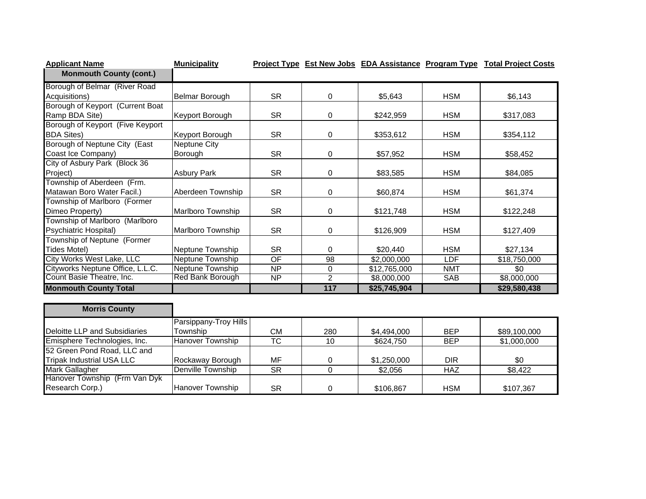| <b>Applicant Name</b>            | <b>Municipality</b>      |                        |                |                         |            | <b>Project Type Est New Jobs EDA Assistance Program Type Total Project Costs</b> |
|----------------------------------|--------------------------|------------------------|----------------|-------------------------|------------|----------------------------------------------------------------------------------|
| <b>Monmouth County (cont.)</b>   |                          |                        |                |                         |            |                                                                                  |
| Borough of Belmar (River Road    |                          |                        |                |                         |            |                                                                                  |
| Acquisitions)                    | <b>Belmar Borough</b>    | <b>SR</b>              | 0              | \$5,643                 | <b>HSM</b> | \$6,143                                                                          |
| Borough of Keyport (Current Boat |                          |                        |                |                         |            |                                                                                  |
| Ramp BDA Site)                   | Keyport Borough          | <b>SR</b>              | 0              | \$242,959               | <b>HSM</b> | \$317,083                                                                        |
| Borough of Keyport (Five Keyport |                          |                        |                |                         |            |                                                                                  |
| <b>BDA Sites)</b>                | Keyport Borough          | <b>SR</b>              | 0              | \$353,612               | <b>HSM</b> | \$354,112                                                                        |
| Borough of Neptune City (East    | Neptune City             |                        |                |                         |            |                                                                                  |
| Coast Ice Company)               | Borough                  | <b>SR</b>              | 0              | \$57,952                | <b>HSM</b> | \$58,452                                                                         |
| City of Asbury Park (Block 36    |                          |                        |                |                         |            |                                                                                  |
| Project)                         | <b>Asbury Park</b>       | <b>SR</b>              | 0              | \$83,585                | <b>HSM</b> | \$84,085                                                                         |
| Township of Aberdeen (Frm.       |                          |                        |                |                         |            |                                                                                  |
| Matawan Boro Water Facil.)       | Aberdeen Township        | <b>SR</b>              | $\mathbf 0$    | \$60,874                | <b>HSM</b> | \$61,374                                                                         |
| Township of Marlboro (Former     |                          |                        |                |                         |            |                                                                                  |
| Dimeo Property)                  | <b>Marlboro Township</b> | <b>SR</b>              | 0              | \$121,748               | <b>HSM</b> | \$122,248                                                                        |
| Township of Marlboro (Marlboro   |                          |                        |                |                         |            |                                                                                  |
| Psychiatric Hospital)            | <b>Marlboro Township</b> | <b>SR</b>              | $\mathbf 0$    | \$126,909               | <b>HSM</b> | \$127,409                                                                        |
| Township of Neptune (Former      |                          |                        |                |                         |            |                                                                                  |
| <b>Tides Motel)</b>              | Neptune Township         | <b>SR</b>              | 0              | \$20,440                | <b>HSM</b> | \$27,134                                                                         |
| City Works West Lake, LLC        | Neptune Township         | $\overline{OF}$        | 98             | $\overline{$2,000,000}$ | <b>LDF</b> | \$18,750,000                                                                     |
| Cityworks Neptune Office, L.L.C. | Neptune Township         | $\overline{NP}$        | $\mathbf 0$    | \$12,765,000            | <b>NMT</b> | $\overline{30}$                                                                  |
| Count Basie Theatre, Inc.        | <b>Red Bank Borough</b>  | NP                     | $\overline{2}$ | \$8,000,000             | <b>SAB</b> | \$8,000,000                                                                      |
| <b>Monmouth County Total</b>     |                          |                        | 117            | \$25,745,904            |            | \$29,580,438                                                                     |
|                                  |                          |                        |                |                         |            |                                                                                  |
| <b>Morris County</b>             |                          |                        |                |                         |            |                                                                                  |
|                                  | Parsippany-Troy Hills    |                        |                |                         |            |                                                                                  |
| Deloitte LLP and Subsidiaries    | Township                 | <b>CM</b>              | 280            | \$4,494,000             | <b>BEP</b> | \$89,100,000                                                                     |
| Emisphere Technologies, Inc.     | <b>Hanover Township</b>  | $\overline{\text{TC}}$ | 10             | \$624,750               | <b>BEP</b> | \$1,000,000                                                                      |
| 52 Green Pond Road, LLC and      |                          |                        |                |                         |            |                                                                                  |
| <b>Tripak Industrial USA LLC</b> | Rockaway Borough         | <b>MF</b>              | $\mathbf 0$    | \$1,250,000             | <b>DIR</b> | \$0                                                                              |
| Mark Gallagher                   | <b>Denville Township</b> | $\overline{\text{SR}}$ | $\mathbf 0$    | \$2,056                 | <b>HAZ</b> | $\sqrt{$8,422}$                                                                  |
| Hanover Township (Frm Van Dyk    |                          |                        |                |                         |            |                                                                                  |
| Research Corp.)                  | Hanover Township         | <b>SR</b>              | 0              | \$106,867               | <b>HSM</b> | \$107,367                                                                        |

Hanover Township SR 0 \$106,867 HSM \$107,367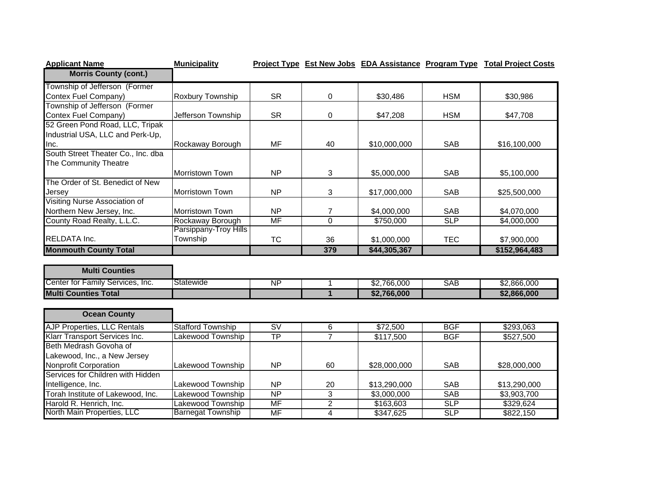| <b>Applicant Name</b>              | <b>Municipality</b>    |                |     |              |            | <b>Project Type Est New Jobs EDA Assistance Program Type Total Project Costs</b> |
|------------------------------------|------------------------|----------------|-----|--------------|------------|----------------------------------------------------------------------------------|
| <b>Morris County (cont.)</b>       |                        |                |     |              |            |                                                                                  |
| Township of Jefferson (Former      |                        |                |     |              |            |                                                                                  |
| Contex Fuel Company)               | Roxbury Township       | <b>SR</b>      | 0   | \$30,486     | <b>HSM</b> | \$30,986                                                                         |
| Township of Jefferson (Former      |                        |                |     |              |            |                                                                                  |
| Contex Fuel Company)               | Jefferson Township     | <b>SR</b>      | 0   | \$47,208     | <b>HSM</b> | \$47,708                                                                         |
| 52 Green Pond Road, LLC, Tripak    |                        |                |     |              |            |                                                                                  |
| Industrial USA, LLC and Perk-Up,   |                        |                |     |              |            |                                                                                  |
| Inc.                               | Rockaway Borough       | MF             | 40  | \$10,000,000 | <b>SAB</b> | \$16,100,000                                                                     |
| South Street Theater Co., Inc. dba |                        |                |     |              |            |                                                                                  |
| The Community Theatre              |                        |                |     |              |            |                                                                                  |
|                                    | <b>Morristown Town</b> | <b>NP</b>      | 3   | \$5,000,000  | <b>SAB</b> | \$5,100,000                                                                      |
| The Order of St. Benedict of New   |                        |                |     |              |            |                                                                                  |
| Jersey                             | Morristown Town        | N <sub>P</sub> | 3   | \$17,000,000 | <b>SAB</b> | \$25,500,000                                                                     |
| Visiting Nurse Association of      |                        |                |     |              |            |                                                                                  |
| Northern New Jersey, Inc.          | Morristown Town        | N <sub>P</sub> |     | \$4,000,000  | <b>SAB</b> | \$4,070,000                                                                      |
| County Road Realty, L.L.C.         | Rockaway Borough       | MF             | 0   | \$750,000    | <b>SLP</b> | \$4,000,000                                                                      |
|                                    | Parsippany-Troy Hills  |                |     |              |            |                                                                                  |
| <b>RELDATA Inc.</b>                | Township               | <b>TC</b>      | 36  | \$1,000,000  | <b>TEC</b> | \$7,900,000                                                                      |
| <b>Monmouth County Total</b>       |                        |                | 379 | \$44,305,367 |            | \$152,964,483                                                                    |

| <b>Multi Counties</b>                 |                  |    |             |     |             |
|---------------------------------------|------------------|----|-------------|-----|-------------|
| Center for Family Services,<br>. Inc. | <b>Statewide</b> | ΝF | \$2.766.000 | SAB | \$2,866,000 |
| <b>IMulti Counties Total</b>          |                  |    | \$2,766,000 |     | \$2,866,000 |

| <b>Ocean County</b>                  |                          |           |    |              |            |              |
|--------------------------------------|--------------------------|-----------|----|--------------|------------|--------------|
| <b>AJP Properties, LLC Rentals</b>   | <b>Stafford Township</b> | <b>SV</b> | 6  | \$72,500     | <b>BGF</b> | \$293,063    |
| <b>Klarr Transport Services Inc.</b> | Lakewood Township        | ТP        |    | \$117,500    | <b>BGF</b> | \$527,500    |
| Beth Medrash Govoha of               |                          |           |    |              |            |              |
| Lakewood, Inc., a New Jersey         |                          |           |    |              |            |              |
| <b>Nonprofit Corporation</b>         | Lakewood Township        | <b>NP</b> | 60 | \$28,000,000 | <b>SAB</b> | \$28,000,000 |
| Services for Children with Hidden    |                          |           |    |              |            |              |
| Intelligence, Inc.                   | Lakewood Township        | NP.       | 20 | \$13,290,000 | <b>SAB</b> | \$13,290,000 |
| Torah Institute of Lakewood, Inc.    | Lakewood Township        | <b>NP</b> |    | \$3,000,000  | <b>SAB</b> | \$3,903,700  |
| Harold R. Henrich, Inc.              | Lakewood Township        | MF        |    | \$163,603    | <b>SLP</b> | \$329.624    |
| North Main Properties, LLC           | Barnegat Township        | MF        |    | \$347,625    | <b>SLP</b> | \$822,150    |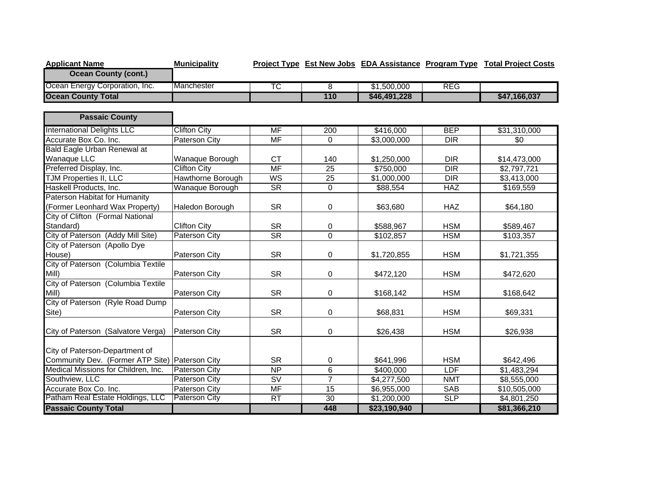| <b>Applicant Name</b>               | <b>Municipality</b>    |                                   |                  |              |                  | Project Type Est New Jobs EDA Assistance Program Type Total Project Costs |
|-------------------------------------|------------------------|-----------------------------------|------------------|--------------|------------------|---------------------------------------------------------------------------|
| <b>Ocean County (cont.)</b>         |                        |                                   |                  |              |                  |                                                                           |
| Ocean Energy Corporation, Inc.      | Manchester             | <b>TC</b>                         | 8                | \$1,500,000  | <b>REG</b>       |                                                                           |
| <b>Ocean County Total</b>           |                        |                                   | 110              | \$46,491,228 |                  | \$47,166,037                                                              |
|                                     |                        |                                   |                  |              |                  |                                                                           |
| <b>Passaic County</b>               |                        |                                   |                  |              |                  |                                                                           |
| <b>International Delights LLC</b>   | <b>Clifton City</b>    | <b>MF</b>                         | $\overline{200}$ | \$416,000    | <b>BEP</b>       | \$31,310,000                                                              |
| Accurate Box Co. Inc.               | <b>Paterson City</b>   | $\overline{\mathsf{MF}}$          | $\Omega$         | \$3,000,000  | <b>DIR</b>       | \$0                                                                       |
| <b>Bald Eagle Urban Renewal at</b>  |                        |                                   |                  |              |                  |                                                                           |
| <b>Wanaque LLC</b>                  | Wanaque Borough        | <b>CT</b>                         | 140              | \$1,250,000  | <b>DIR</b>       | \$14,473,000                                                              |
| Preferred Display, Inc.             | <b>Clifton City</b>    | <b>MF</b>                         | $\overline{25}$  | \$750,000    | $\overline{DIR}$ | \$2,797,721                                                               |
| <b>TJM Properties II, LLC</b>       | Hawthorne Borough      | WS                                | $\overline{25}$  | \$1,000,000  | $\overline{DIR}$ | \$3,413,000                                                               |
| Haskell Products, Inc.              | <b>Wanaque Borough</b> | $\overline{\text{SR}}$            | $\overline{0}$   | \$88,554     | <b>HAZ</b>       | \$169,559                                                                 |
| Paterson Habitat for Humanity       |                        |                                   |                  |              |                  |                                                                           |
| (Former Leonhard Wax Property)      | Haledon Borough        | <b>SR</b>                         | 0                | \$63,680     | <b>HAZ</b>       | \$64,180                                                                  |
| City of Clifton (Formal National    |                        |                                   |                  |              |                  |                                                                           |
| Standard)                           | <b>Clifton City</b>    | <b>SR</b>                         | 0                | \$588,967    | <b>HSM</b>       | \$589,467                                                                 |
| City of Paterson (Addy Mill Site)   | <b>Paterson City</b>   | $\overline{\text{SR}}$            | 0                | \$102,857    | <b>HSM</b>       | \$103,357                                                                 |
| City of Paterson (Apollo Dye        |                        |                                   |                  |              |                  |                                                                           |
| House)                              | Paterson City          | <b>SR</b>                         | 0                | \$1,720,855  | <b>HSM</b>       | \$1,721,355                                                               |
| City of Paterson (Columbia Textile  |                        |                                   |                  |              |                  |                                                                           |
| Mill)                               | Paterson City          | <b>SR</b>                         | 0                | \$472,120    | <b>HSM</b>       | \$472,620                                                                 |
| City of Paterson (Columbia Textile  |                        |                                   |                  |              |                  |                                                                           |
| Mill)                               | Paterson City          | <b>SR</b>                         | 0                | \$168,142    | <b>HSM</b>       | \$168,642                                                                 |
| City of Paterson (Ryle Road Dump    |                        |                                   |                  |              |                  |                                                                           |
| Site)                               | <b>Paterson City</b>   | <b>SR</b>                         | 0                | \$68,831     | <b>HSM</b>       | \$69,331                                                                  |
|                                     |                        |                                   |                  |              |                  |                                                                           |
| City of Paterson (Salvatore Verga)  | <b>Paterson City</b>   | <b>SR</b>                         | 0                | \$26,438     | <b>HSM</b>       | \$26,938                                                                  |
|                                     |                        |                                   |                  |              |                  |                                                                           |
| City of Paterson-Department of      |                        |                                   |                  |              |                  |                                                                           |
| Community Dev. (Former ATP Site)    | <b>Paterson City</b>   | <b>SR</b>                         | 0                | \$641,996    | <b>HSM</b>       | \$642,496                                                                 |
| Medical Missions for Children, Inc. | <b>Paterson City</b>   | NP                                | $\overline{6}$   | \$400,000    | LDF              | \$1,483,294                                                               |
| Southview, LLC                      | <b>Paterson City</b>   | $\overline{\mathsf{S}\mathsf{V}}$ | $\overline{7}$   | \$4,277,500  | <b>NMT</b>       | \$8,555,000                                                               |
| Accurate Box Co. Inc.               | Paterson City          | $\overline{\mathsf{MF}}$          | 15               | \$6,955,000  | <b>SAB</b>       | \$10,505,000                                                              |
| Patham Real Estate Holdings, LLC    | <b>Paterson City</b>   | RT                                | 30               | \$1,200,000  | <b>SLP</b>       | \$4,801,250                                                               |
| <b>Passaic County Total</b>         |                        |                                   | 448              | \$23,190,940 |                  | \$81,366,210                                                              |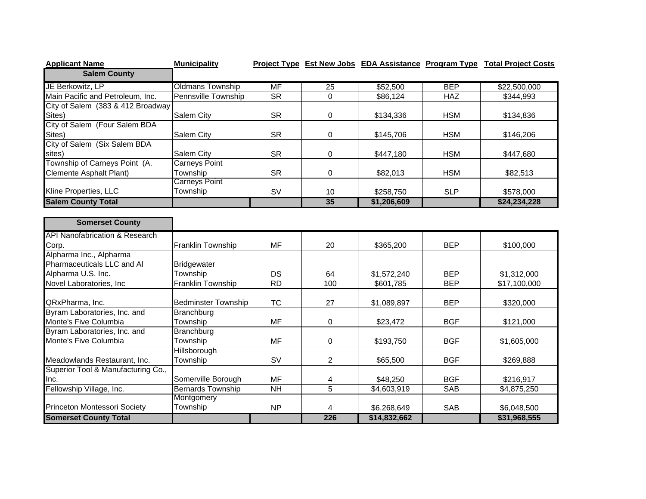| <b>Applicant Name</b>                     | <b>Municipality</b>        |                        |                |                        |            | Project Type Est New Jobs EDA Assistance Program Type Total Project Costs |
|-------------------------------------------|----------------------------|------------------------|----------------|------------------------|------------|---------------------------------------------------------------------------|
| <b>Salem County</b>                       |                            |                        |                |                        |            |                                                                           |
| JE Berkowitz, LP                          | <b>Oldmans Township</b>    | <b>MF</b>              | 25             | \$52,500               | <b>BEP</b> | \$22,500,000                                                              |
| Main Pacific and Petroleum, Inc.          | <b>Pennsville Township</b> | $\overline{\text{SR}}$ | $\Omega$       | \$86,124               | <b>HAZ</b> | \$344,993                                                                 |
| City of Salem (383 & 412 Broadway         |                            |                        |                |                        |            |                                                                           |
| Sites)                                    | <b>Salem City</b>          | <b>SR</b>              | 0              | \$134,336              | <b>HSM</b> | \$134,836                                                                 |
| City of Salem (Four Salem BDA             |                            |                        |                |                        |            |                                                                           |
| Sites)                                    | Salem City                 | <b>SR</b>              | 0              | \$145,706              | <b>HSM</b> | \$146,206                                                                 |
| City of Salem (Six Salem BDA              |                            |                        |                |                        |            |                                                                           |
| sites)                                    | Salem City                 | <b>SR</b>              | 0              | \$447,180              | <b>HSM</b> | \$447,680                                                                 |
| Township of Carneys Point (A.             | <b>Carneys Point</b>       |                        |                |                        |            |                                                                           |
| Clemente Asphalt Plant)                   | Township                   | <b>SR</b>              | $\mathbf 0$    | \$82,013               | <b>HSM</b> | \$82,513                                                                  |
|                                           | Carneys Point              |                        |                |                        |            |                                                                           |
| Kline Properties, LLC                     | Township                   | SV                     | 10             | \$258,750              | <b>SLP</b> | \$578,000                                                                 |
| <b>Salem County Total</b>                 |                            |                        | 35             | \$1,206,609            |            | \$24,234,228                                                              |
| <b>Somerset County</b>                    |                            |                        |                |                        |            |                                                                           |
| <b>API Nanofabrication &amp; Research</b> |                            |                        |                |                        |            |                                                                           |
| Corp.                                     | Franklin Township          | MF                     | 20             | \$365,200              | <b>BEP</b> | \$100,000                                                                 |
| Alpharma Inc., Alpharma                   |                            |                        |                |                        |            |                                                                           |
| Pharmaceuticals LLC and Al                | <b>Bridgewater</b>         |                        |                |                        |            |                                                                           |
| Alpharma U.S. Inc.                        | Township                   | <b>DS</b>              | 64             | \$1,572,240            | <b>BEP</b> | \$1,312,000                                                               |
| Novel Laboratories, Inc.                  | <b>Franklin Township</b>   | RD                     | 100            | \$601,785              | <b>BEP</b> | \$17,100,000                                                              |
| QRxPharma, Inc.                           | <b>Bedminster Township</b> | <b>TC</b>              | 27             | \$1,089,897            | <b>BEP</b> | \$320,000                                                                 |
| Byram Laboratories, Inc. and              | Branchburg                 |                        |                |                        |            |                                                                           |
| Monte's Five Columbia                     | Township                   | <b>MF</b>              | 0              | \$23,472               | <b>BGF</b> | \$121,000                                                                 |
| Byram Laboratories, Inc. and              | <b>Branchburg</b>          |                        |                |                        |            |                                                                           |
| Monte's Five Columbia                     | Township                   | <b>MF</b>              | 0              | \$193,750              | <b>BGF</b> | \$1,605,000                                                               |
|                                           | Hillsborough               |                        |                |                        |            |                                                                           |
| Meadowlands Restaurant, Inc.              | Township                   | SV                     | $\overline{2}$ | \$65,500               | <b>BGF</b> | \$269,888                                                                 |
| Superior Tool & Manufacturing Co.,        |                            |                        |                |                        |            |                                                                           |
| Inc.                                      | Somerville Borough         | MF                     | 4              | \$48,250               | <b>BGF</b> | \$216,917                                                                 |
| Fellowship Village, Inc.                  | <b>Bernards Township</b>   | $\overline{NH}$        | $\overline{5}$ | $\overline{4,603,919}$ | <b>SAB</b> | \$4,875,250                                                               |
|                                           | Montgomery                 |                        |                |                        |            |                                                                           |
| Princeton Montessori Society              | Township                   | <b>NP</b>              | 4              | \$6,268,649            | <b>SAB</b> | \$6,048,500                                                               |
| <b>Somerset County Total</b>              |                            |                        | 226            | \$14,832,662           |            | \$31,968,555                                                              |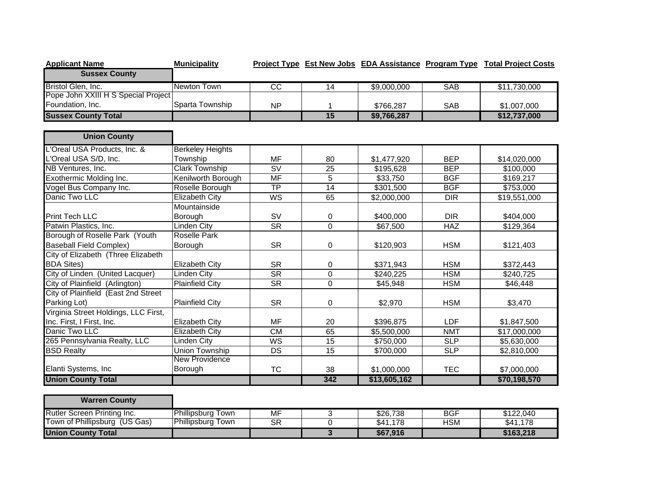| <b>Applicant Name</b>                | <b>Municipality</b>     |                        |                 |              |                  | Project Type Est New Jobs EDA Assistance Program Type Total Project Costs |
|--------------------------------------|-------------------------|------------------------|-----------------|--------------|------------------|---------------------------------------------------------------------------|
| <b>Sussex County</b>                 |                         |                        |                 |              |                  |                                                                           |
| Bristol Glen, Inc.                   | <b>Newton Town</b>      | $\overline{cc}$        | 14              | \$9,000,000  | <b>SAB</b>       | \$11,730,000                                                              |
| Pope John XXIII H S Special Project  |                         |                        |                 |              |                  |                                                                           |
| Foundation, Inc.                     | Sparta Township         | <b>NP</b>              | 1               | \$766,287    | <b>SAB</b>       | \$1,007,000                                                               |
| <b>Sussex County Total</b>           |                         |                        | 15              | \$9,766,287  |                  | \$12,737,000                                                              |
|                                      |                         |                        |                 |              |                  |                                                                           |
| <b>Union County</b>                  |                         |                        |                 |              |                  |                                                                           |
| L'Oreal USA Products, Inc. &         | <b>Berkeley Heights</b> |                        |                 |              |                  |                                                                           |
| L'Oreal USA S/D, Inc.                | Township                | <b>MF</b>              | 80              | \$1,477,920  | <b>BEP</b>       | \$14,020,000                                                              |
| NB Ventures, Inc.                    | <b>Clark Township</b>   | SV                     | $\overline{25}$ | \$195,628    | <b>BEP</b>       | \$100,000                                                                 |
| Exothermic Molding Inc.              | Kenilworth Borough      | <b>MF</b>              | $\overline{5}$  | \$33,750     | <b>BGF</b>       | \$169,217                                                                 |
| Vogel Bus Company Inc.               | Roselle Borough         | $\overline{TP}$        | 14              | \$301,500    | <b>BGF</b>       | \$753,000                                                                 |
| Danic Two LLC                        | <b>Elizabeth City</b>   | WS                     | 65              | \$2,000,000  | $\overline{DIR}$ | \$19,551,000                                                              |
|                                      | Mountainside            |                        |                 |              |                  |                                                                           |
| Print Tech LLC                       | Borough                 | <b>SV</b>              | 0               | \$400,000    | <b>DIR</b>       | \$404,000                                                                 |
| Patwin Plastics, Inc.                | <b>Linden City</b>      | $\overline{\text{SR}}$ | $\Omega$        | \$67,500     | <b>HAZ</b>       | \$129,364                                                                 |
| Borough of Roselle Park (Youth       | Roselle Park            |                        |                 |              |                  |                                                                           |
| <b>Baseball Field Complex)</b>       | Borough                 | <b>SR</b>              | $\mathbf 0$     | \$120,903    | <b>HSM</b>       | \$121,403                                                                 |
| City of Elizabeth (Three Elizabeth   |                         |                        |                 |              |                  |                                                                           |
| <b>BDA Sites)</b>                    | <b>Elizabeth City</b>   | <b>SR</b>              | $\mathbf 0$     | \$371,943    | <b>HSM</b>       | \$372,443                                                                 |
| City of Linden (United Lacquer)      | <b>Linden City</b>      | $\overline{\text{SR}}$ | $\overline{0}$  | \$240,225    | <b>HSM</b>       | \$240,725                                                                 |
| City of Plainfield (Arlington)       | <b>Plainfield City</b>  | $\overline{\text{SR}}$ | $\overline{0}$  | \$45,948     | <b>HSM</b>       | \$46,448                                                                  |
| City of Plainfield (East 2nd Street  |                         |                        |                 |              |                  |                                                                           |
| Parking Lot)                         | <b>Plainfield City</b>  | <b>SR</b>              | $\mathbf 0$     | \$2,970      | <b>HSM</b>       | \$3,470                                                                   |
| Virginia Street Holdings, LLC First, |                         |                        |                 |              |                  |                                                                           |
| Inc. First, I First, Inc.            | <b>Elizabeth City</b>   | <b>MF</b>              | 20              | \$396,875    | <b>LDF</b>       | \$1,847,500                                                               |
| Danic Two LLC                        | <b>Elizabeth City</b>   | $\overline{\text{CM}}$ | 65              | \$5,500,000  | <b>NMT</b>       | \$17,000,000                                                              |
| 265 Pennsylvania Realty, LLC         | <b>Linden City</b>      | <b>WS</b>              | 15              | \$750,000    | <b>SLP</b>       | \$5,630,000                                                               |
| <b>BSD Realty</b>                    | <b>Union Township</b>   | DS                     | 15              | \$700,000    | <b>SLP</b>       | \$2,810,000                                                               |
|                                      | New Providence          |                        |                 |              |                  |                                                                           |
| Elanti Systems, Inc                  | Borough                 | <b>TC</b>              | 38              | \$1,000,000  | <b>TEC</b>       | \$7,000,000                                                               |
| <b>Union County Total</b>            |                         |                        | 342             | \$13,605,162 |                  | \$70,198,570                                                              |
| <b>Warren County</b>                 |                         |                        |                 |              |                  |                                                                           |
| Rutler Screen Printing Inc.          | Phillipsburg Town       | <b>MF</b>              | $\overline{3}$  | \$26,738     | <b>BGF</b>       | \$122,040                                                                 |
| Town of Phillipsburg (US Gas)        | Phillipsburg Town       | <b>SR</b>              | $\overline{0}$  | \$41,178     | <b>HSM</b>       | \$41,178                                                                  |
| <b>Union County Total</b>            |                         |                        | $\overline{3}$  | \$67,916     |                  | \$163,218                                                                 |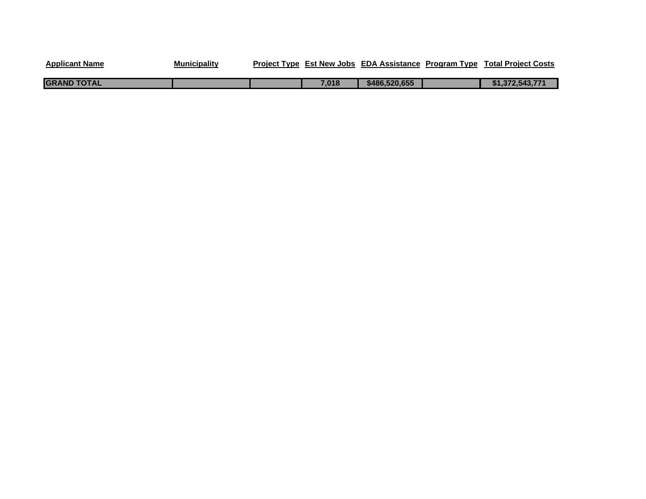| <b>Applicant Name</b> | <b>Municipality</b> |       | Project Type Est New Jobs EDA Assistance Program Type | <b>Total Project Costs</b> |
|-----------------------|---------------------|-------|-------------------------------------------------------|----------------------------|
| <b>GRAND TOTAL</b>    |                     | 7.018 | \$486,520,655                                         | \$1,372,543,771            |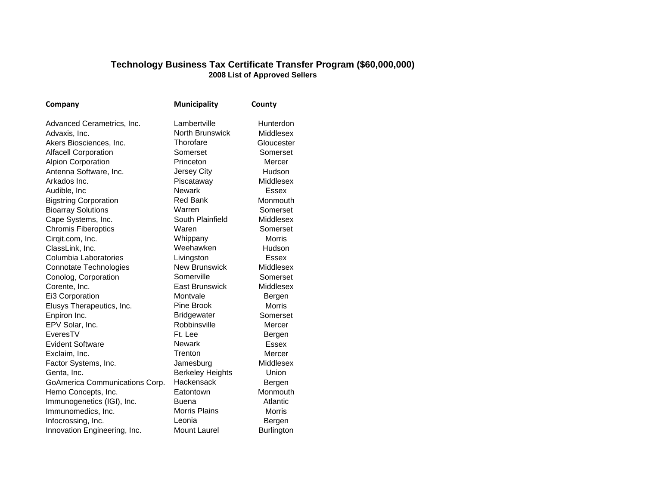## **Technology Business Tax Certificate Transfer Program (\$60,000,000) 2008 List of Approved Sellers**

| Company                        | <b>Municipality</b>     | County        |
|--------------------------------|-------------------------|---------------|
| Advanced Cerametrics, Inc.     | Lambertville            | Hunterdon     |
| Advaxis, Inc.                  | North Brunswick         | Middlesex     |
| Akers Biosciences, Inc.        | Thorofare               | Gloucester    |
| <b>Alfacell Corporation</b>    | Somerset                | Somerset      |
| <b>Alpion Corporation</b>      | Princeton               | Mercer        |
| Antenna Software, Inc.         | Jersey City             | Hudson        |
| Arkados Inc.                   | Piscataway              | Middlesex     |
| Audible, Inc                   | <b>Newark</b>           | Essex         |
| <b>Bigstring Corporation</b>   | <b>Red Bank</b>         | Monmouth      |
| <b>Bioarray Solutions</b>      | Warren                  | Somerset      |
| Cape Systems, Inc.             | South Plainfield        | Middlesex     |
| <b>Chromis Fiberoptics</b>     | Waren                   | Somerset      |
| Cirqit.com, Inc.               | Whippany                | <b>Morris</b> |
| ClassLink, Inc.                | Weehawken               | Hudson        |
| Columbia Laboratories          | Livingston              | Essex         |
| <b>Connotate Technologies</b>  | <b>New Brunswick</b>    | Middlesex     |
| Conolog, Corporation           | Somerville              | Somerset      |
| Corente, Inc.                  | <b>East Brunswick</b>   | Middlesex     |
| Ei3 Corporation                | Montvale                | Bergen        |
| Elusys Therapeutics, Inc.      | Pine Brook              | <b>Morris</b> |
| Enpiron Inc.                   | <b>Bridgewater</b>      | Somerset      |
| EPV Solar, Inc.                | Robbinsville            | Mercer        |
| EveresTV                       | Ft. Lee                 | Bergen        |
| <b>Evident Software</b>        | <b>Newark</b>           | <b>Essex</b>  |
| Exclaim, Inc.                  | Trenton                 | Mercer        |
| Factor Systems, Inc.           | Jamesburg               | Middlesex     |
| Genta, Inc.                    | <b>Berkeley Heights</b> | Union         |
| GoAmerica Communications Corp. | Hackensack              | Bergen        |
| Hemo Concepts, Inc.            | Eatontown               | Monmouth      |
| Immunogenetics (IGI), Inc.     | Buena                   | Atlantic      |
| Immunomedics, Inc.             | Morris Plains           | <b>Morris</b> |
| Infocrossing, Inc.             | Leonia                  | Bergen        |
| Innovation Engineering, Inc.   | <b>Mount Laurel</b>     | Burlington    |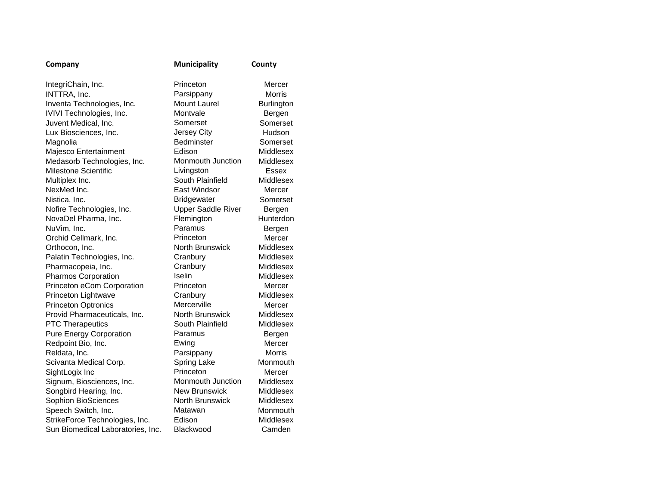| Company                           | <b>Municipality</b>       | County            |
|-----------------------------------|---------------------------|-------------------|
| IntegriChain, Inc.                | Princeton                 | Mercer            |
| INTTRA, Inc.                      | Parsippany                | <b>Morris</b>     |
| Inventa Technologies, Inc.        | <b>Mount Laurel</b>       | <b>Burlington</b> |
| IVIVI Technologies, Inc.          | Montvale                  | Bergen            |
| Juvent Medical, Inc.              | Somerset                  | Somerset          |
| Lux Biosciences, Inc.             | Jersey City               | Hudson            |
| Magnolia                          | <b>Bedminster</b>         | Somerset          |
| Majesco Entertainment             | Edison                    | Middlesex         |
| Medasorb Technologies, Inc.       | <b>Monmouth Junction</b>  | Middlesex         |
| <b>Milestone Scientific</b>       | Livingston                | Essex             |
| Multiplex Inc.                    | South Plainfield          | Middlesex         |
| NexMed Inc.                       | East Windsor              | Mercer            |
| Nistica, Inc.                     | <b>Bridgewater</b>        | Somerset          |
| Nofire Technologies, Inc.         | <b>Upper Saddle River</b> | Bergen            |
| NovaDel Pharma, Inc.              | Flemington                | <b>Hunterdon</b>  |
| NuVim, Inc.                       | Paramus                   | Bergen            |
| Orchid Cellmark, Inc.             | Princeton                 | Mercer            |
| Orthocon, Inc.                    | North Brunswick           | Middlesex         |
| Palatin Technologies, Inc.        | Cranbury                  | Middlesex         |
| Pharmacopeia, Inc.                | Cranbury                  | Middlesex         |
| Pharmos Corporation               | Iselin                    | Middlesex         |
| Princeton eCom Corporation        | Princeton                 | Mercer            |
| Princeton Lightwave               | Cranbury                  | Middlesex         |
| <b>Princeton Optronics</b>        | Mercerville               | Mercer            |
| Provid Pharmaceuticals, Inc.      | North Brunswick           | Middlesex         |
| <b>PTC Therapeutics</b>           | South Plainfield          | Middlesex         |
| <b>Pure Energy Corporation</b>    | Paramus                   | Bergen            |
| Redpoint Bio, Inc.                | Ewing                     | Mercer            |
| Reldata, Inc.                     | Parsippany                | <b>Morris</b>     |
| Scivanta Medical Corp.            | <b>Spring Lake</b>        | Monmouth          |
| SightLogix Inc                    | Princeton                 | Mercer            |
| Signum, Biosciences, Inc.         | Monmouth Junction         | <b>Middlesex</b>  |
| Songbird Hearing, Inc.            | New Brunswick             | Middlesex         |
| Sophion BioSciences               | <b>North Brunswick</b>    | Middlesex         |
| Speech Switch, Inc.               | Matawan                   | Monmouth          |
| StrikeForce Technologies, Inc.    | Edison                    | Middlesex         |
| Sun Biomedical Laboratories, Inc. | Blackwood                 | Camden            |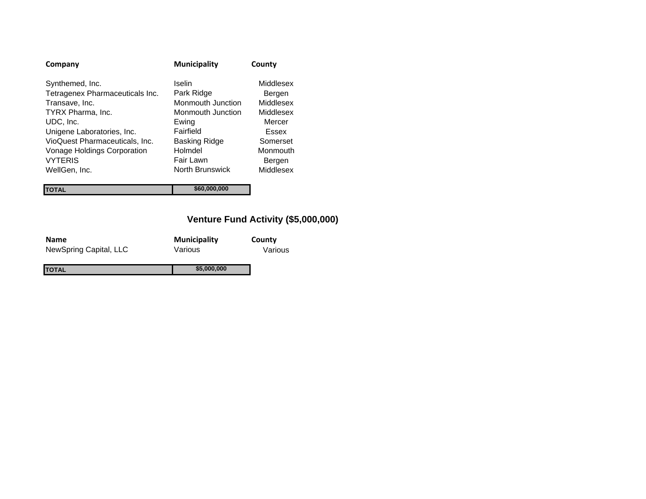| Company                                                                                                                                                                                                                 | <b>Municipality</b>                                                                                                           | County                                                                                             |
|-------------------------------------------------------------------------------------------------------------------------------------------------------------------------------------------------------------------------|-------------------------------------------------------------------------------------------------------------------------------|----------------------------------------------------------------------------------------------------|
| Synthemed, Inc.<br>Tetragenex Pharmaceuticals Inc.<br>Transave, Inc.<br>TYRX Pharma, Inc.<br>UDC, Inc.<br>Unigene Laboratories, Inc.<br>VioQuest Pharmaceuticals, Inc.<br>Vonage Holdings Corporation<br><b>VYTERIS</b> | Iselin<br>Park Ridge<br>Monmouth Junction<br>Monmouth Junction<br>Ewing<br>Fairfield<br>Basking Ridge<br>Holmdel<br>Fair Lawn | Middlesex<br>Bergen<br>Middlesex<br>Middlesex<br>Mercer<br>Essex<br>Somerset<br>Monmouth<br>Bergen |
| WellGen, Inc.                                                                                                                                                                                                           | North Brunswick                                                                                                               | Middlesex                                                                                          |
|                                                                                                                                                                                                                         | \$60,000,000                                                                                                                  |                                                                                                    |

## **Venture Fund Activity (\$5,000,000)**

| <b>Name</b>            | <b>Municipality</b> | County  |
|------------------------|---------------------|---------|
| NewSpring Capital, LLC | Various             | Various |
| ΙΤΟΤΑL                 | \$5,000,000         |         |